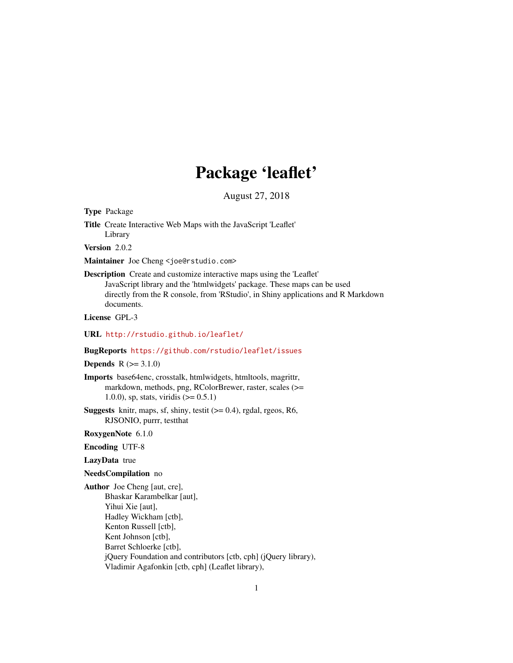# Package 'leaflet'

August 27, 2018

<span id="page-0-0"></span>Type Package

Title Create Interactive Web Maps with the JavaScript 'Leaflet' Library

Version 2.0.2

Maintainer Joe Cheng <joe@rstudio.com>

Description Create and customize interactive maps using the 'Leaflet' JavaScript library and the 'htmlwidgets' package. These maps can be used directly from the R console, from 'RStudio', in Shiny applications and R Markdown documents.

License GPL-3

URL <http://rstudio.github.io/leaflet/>

#### BugReports <https://github.com/rstudio/leaflet/issues>

**Depends**  $R (= 3.1.0)$ 

Imports base64enc, crosstalk, htmlwidgets, htmltools, magrittr, markdown, methods, png, RColorBrewer, raster, scales (>= 1.0.0), sp, stats, viridis  $(>= 0.5.1)$ 

**Suggests** knitr, maps, sf, shiny, testit  $(>= 0.4)$ , rgdal, rgeos, R6, RJSONIO, purrr, testthat

RoxygenNote 6.1.0

Encoding UTF-8

### LazyData true

#### NeedsCompilation no

Author Joe Cheng [aut, cre], Bhaskar Karambelkar [aut], Yihui Xie [aut], Hadley Wickham [ctb], Kenton Russell [ctb], Kent Johnson [ctb], Barret Schloerke [ctb], jQuery Foundation and contributors [ctb, cph] (jQuery library), Vladimir Agafonkin [ctb, cph] (Leaflet library),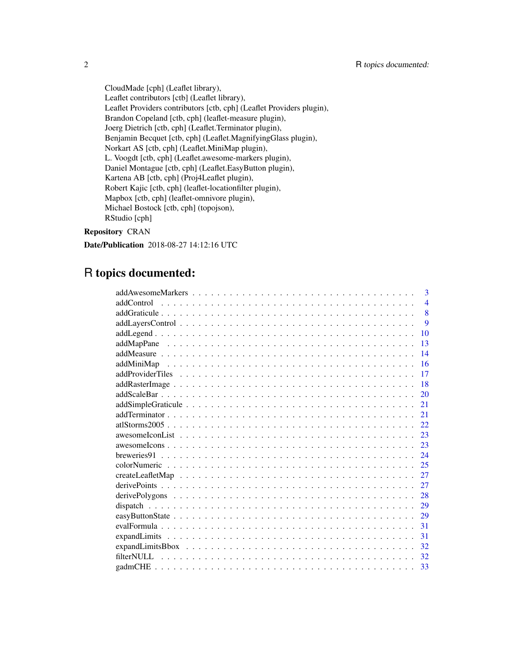CloudMade [cph] (Leaflet library), Leaflet contributors [ctb] (Leaflet library), Leaflet Providers contributors [ctb, cph] (Leaflet Providers plugin), Brandon Copeland [ctb, cph] (leaflet-measure plugin), Joerg Dietrich [ctb, cph] (Leaflet.Terminator plugin), Benjamin Becquet [ctb, cph] (Leaflet.MagnifyingGlass plugin), Norkart AS [ctb, cph] (Leaflet.MiniMap plugin), L. Voogdt [ctb, cph] (Leaflet.awesome-markers plugin), Daniel Montague [ctb, cph] (Leaflet.EasyButton plugin), Kartena AB [ctb, cph] (Proj4Leaflet plugin), Robert Kajic [ctb, cph] (leaflet-locationfilter plugin), Mapbox [ctb, cph] (leaflet-omnivore plugin), Michael Bostock [ctb, cph] (topojson), RStudio [cph]

### Repository CRAN

Date/Publication 2018-08-27 14:12:16 UTC

## R topics documented:

|            | 3              |
|------------|----------------|
| addControl | $\overline{4}$ |
|            | 8              |
|            | $\mathbf Q$    |
|            | 10             |
|            | 13             |
|            | 14             |
|            | 16             |
|            | 17             |
|            | 18             |
|            | 20             |
|            | 21             |
|            | 21             |
|            | 22             |
|            | 23             |
|            | 23             |
|            | 24             |
|            | 25             |
|            | 27             |
|            | 27             |
|            | 28             |
|            | 29             |
|            | 29             |
|            | 31             |
|            | 31             |
|            | 32             |
|            | 32             |
|            | 33             |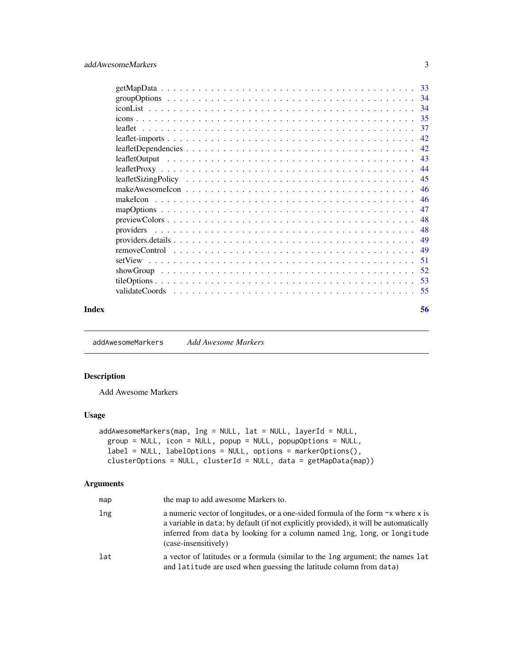<span id="page-2-0"></span>

| Index | 56  |
|-------|-----|
|       |     |
|       | -53 |
|       |     |
|       | 51  |
|       | 49  |
|       | 49  |
|       | 48  |
|       | 48  |
|       | 47  |
|       | 46  |
|       | 46  |
|       | 45  |
|       | 44  |
|       | 43  |
|       | 42  |
|       | 42  |
|       | 37  |
|       | 35  |
|       |     |
|       |     |
|       |     |

<span id="page-2-1"></span>addAwesomeMarkers *Add Awesome Markers*

### Description

Add Awesome Markers

### Usage

```
addAwesomeMarkers(map, lng = NULL, lat = NULL, layerId = NULL,
  group = NULL, icon = NULL, popup = NULL, popupOptions = NULL,
  label = NULL, labelOptions = NULL, options = markerOptions(),
 clusterOptions = NULL, clusterId = NULL, data = getMapData(map))
```
### Arguments

| map | the map to add awesome Markers to.                                                                                                                                                                                                                                                  |
|-----|-------------------------------------------------------------------------------------------------------------------------------------------------------------------------------------------------------------------------------------------------------------------------------------|
| lng | a numeric vector of longitudes, or a one-sided formula of the form $\sim x$ where x is<br>a variable in data; by default (if not explicitly provided), it will be automatically<br>inferred from data by looking for a column named lng, long, or longitude<br>(case-insensitively) |
| lat | a vector of latitudes or a formula (similar to the lng argument; the names lat<br>and latitude are used when guessing the latitude column from data)                                                                                                                                |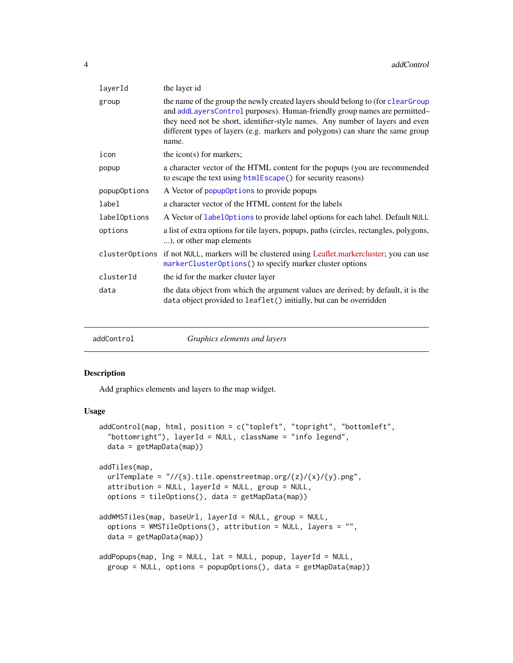<span id="page-3-0"></span>

| the layer id                                                                                                                                                                                                                                                                                                                             |
|------------------------------------------------------------------------------------------------------------------------------------------------------------------------------------------------------------------------------------------------------------------------------------------------------------------------------------------|
| the name of the group the newly created layers should belong to (for clearGroup<br>and addLayersControl purposes). Human-friendly group names are permitted-<br>they need not be short, identifier-style names. Any number of layers and even<br>different types of layers (e.g. markers and polygons) can share the same group<br>name. |
| the icon(s) for markers;                                                                                                                                                                                                                                                                                                                 |
| a character vector of the HTML content for the popups (you are recommended<br>to escape the text using htmlEscape() for security reasons)                                                                                                                                                                                                |
| A Vector of popup0ptions to provide popups                                                                                                                                                                                                                                                                                               |
| a character vector of the HTML content for the labels                                                                                                                                                                                                                                                                                    |
| A Vector of label0ptions to provide label options for each label. Default NULL                                                                                                                                                                                                                                                           |
| a list of extra options for tile layers, popups, paths (circles, rectangles, polygons,<br>), or other map elements                                                                                                                                                                                                                       |
| cluster0ptions if not NULL, markers will be clustered using Leaflet.markercluster; you can use<br>markerClusterOptions() to specify marker cluster options                                                                                                                                                                               |
| the id for the marker cluster layer                                                                                                                                                                                                                                                                                                      |
| the data object from which the argument values are derived; by default, it is the<br>data object provided to leaflet() initially, but can be overridden                                                                                                                                                                                  |
|                                                                                                                                                                                                                                                                                                                                          |

| Graphics elements and layers<br>addControl |  |
|--------------------------------------------|--|
|--------------------------------------------|--|

### <span id="page-3-1"></span>Description

Add graphics elements and layers to the map widget.

#### Usage

```
addControl(map, html, position = c("topleft", "topright", "bottomleft",
  "bottomright"), layerId = NULL, className = "info legend",
 data = getMapData(map))
addTiles(map,
  urlTemplate = \frac{n}{s}.tile.openstreetmap.org/{z}/{x}/{y}.png",
  attribution = NULL, layerId = NULL, group = NULL,
 options = tileOptions(), data = getMapData(map))
addWMSTiles(map, baseUrl, layerId = NULL, group = NULL,
  options = WMSTileOptions(), attribution = NULL, layers = "",
  data = getMapData(map))
addPopups(map, lng = NULL, lat = NULL, popup, layerId = NULL,
  group = NULL, options = popupOptions(), data = getMapData(map))
```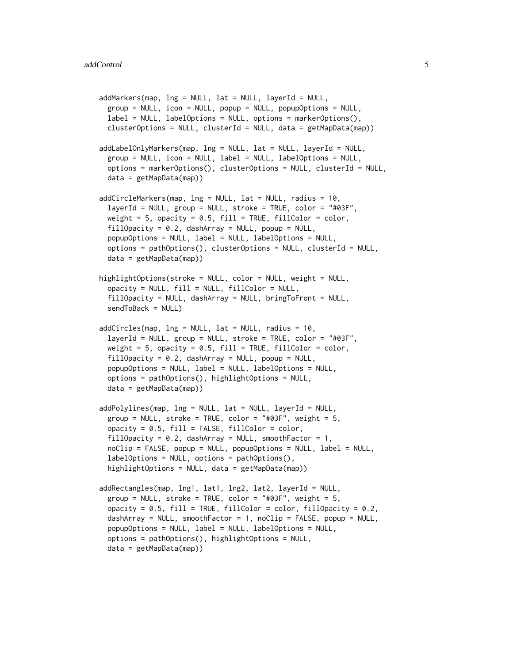```
addMarkers(map, lng = NULL, lat = NULL, layerId = NULL,
  group = NULL, icon = NULL, pop = NULL, popup = NULL, popupOption = NULL,
 label = NULL, labelOptions = NULL, options = markerOptions(),
  clusterOptions = NULL, clusterId = NULL, data = getMapData(map))
addLabelOnlyMarkers(map, lng = NULL, lat = NULL, layerId = NULL,
  group = NULL, icon = NULL, label = NULL, label in L, labeloptions = markerOptions(), clusterOptions = NULL, clusterId = NULL,
 data = getMapData(map))
addCircleMarkers(map, lng = NULL, lat = NULL, radius = 10,
  layerId = NULL, group = NULL, stroke = TRUE, color = "#03F",weight = 5, opacity = 0.5, fill = TRUE, fillColor = color,
 fillOpacity = 0.2, dashArray = NULL, popup = NULL,
  popupOptions = NULL, label = NULL, labelOptions = NULL,
  options = pathOptions(), clusterOptions = NULL, clusterId = NULL,
  data = getMapData(map))
highlightOptions(stroke = NULL, color = NULL, weight = NULL,
  opacity = NULL, fill = NULL, fillColor = NULL,
  fillOpacity = NULL, dashArray = NULL, bringToFront = NULL,
  sendToBack = NULL)
addCircles(map, <math>Ing = NULL, lat = NULL, radius = 10</math>,layerId = NULL, group = NULL, stroche = TRUE, color = "#03F",weight = 5, opacity = 0.5, fill = TRUE, fillColor = color,
  fillOpacity = 0.2, dashArray = NULL, popup = NULL,
  popupOptions = NULL, label = NULL, labelOptions = NULL,
  options = pathOptions(), highlightOptions = NULL,
  data = getMapData(map))
addPolylines(map, lng = NULL, lat = NULL, layerId = NULL,
  group = NULL, stroke = TRUE, color = "#03F", weight = 5,
  opacity = 0.5, fill = FALSE, fillColor = color,
  fillOpacity = 0.2, dashArray = NULL, smoothFactor = 1,
  noClip = FALSE, popup = NULL, popupOptions = NULL, label = NULL,
  labelOptions = NULL, options = pathOptions(),
  highlightOptions = NULL, data = getMapData(map))
addRectangles(map, lng1, lat1, lng2, lat2, layerId = NULL,
  group = NULL, stroke = TRUE, color = "#03F", weight = 5,
  opacity = 0.5, fill = TRUE, fillColor = color, fillOpacity = 0.2,
  dashArray = NULL, smoothFactor = 1, noClip = FALSE, popup = NULL,
 popupOptions = NULL, label = NULL, labelOptions = NULL,
  options = pathOptions(), highlightOptions = NULL,
 data = getMapData(map))
```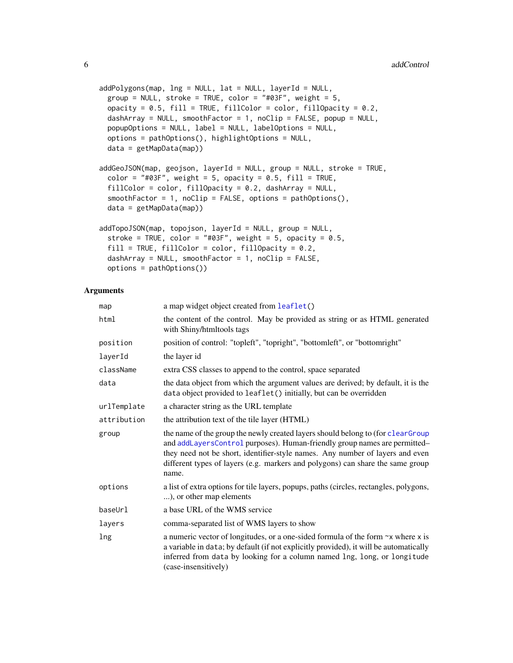```
addPolygons(map, Ing = NULL, lat = NULL, layerId = NULL,group = NULL, stroke = TRUE, color = "#03F", weight = 5,
 opacity = 0.5, fill = TRUE, fillColor = color, fillOpacity = 0.2,
 dashArray = NULL, smoothFactor = 1, noClip = FALSE, popup = NULL,
 popupOptions = NULL, label = NULL, labelOptions = NULL,
 options = pathOptions(), highlightOptions = NULL,
 data = getMapData(map))
addGeoJSON(map, geojson, layerId = NULL, group = NULL, stroke = TRUE,
  color = "#03F", weight = 5, opacity = 0.5, fill = TRUE,fillColor = color, fillOpacity = 0.2, dashArray = NULL,
  smoothFactor = 1, noClip = FALSE, options = pathOptions(),
 data = getMapData(map))
addTopoJSON(map, topojson, layerId = NULL, group = NULL,
  stroke = TRUE, color = "#03F", weight = 5, opacity = 0.5,
  fill = TRUE, fillColor = color, fillOpacity = 0.2,dashArray = NULL, smoothFactor = 1, noClip = FALSE,
 options = pathOptions())
```
### Arguments

| map         | a map widget object created from leaflet()                                                                                                                                                                                                                                                                                               |
|-------------|------------------------------------------------------------------------------------------------------------------------------------------------------------------------------------------------------------------------------------------------------------------------------------------------------------------------------------------|
| html        | the content of the control. May be provided as string or as HTML generated<br>with Shiny/htmltools tags                                                                                                                                                                                                                                  |
| position    | position of control: "topleft", "topright", "bottomleft", or "bottomright"                                                                                                                                                                                                                                                               |
| layerId     | the layer id                                                                                                                                                                                                                                                                                                                             |
| className   | extra CSS classes to append to the control, space separated                                                                                                                                                                                                                                                                              |
| data        | the data object from which the argument values are derived; by default, it is the<br>data object provided to leaflet() initially, but can be overridden                                                                                                                                                                                  |
| urlTemplate | a character string as the URL template                                                                                                                                                                                                                                                                                                   |
| attribution | the attribution text of the tile layer (HTML)                                                                                                                                                                                                                                                                                            |
| group       | the name of the group the newly created layers should belong to (for clearGroup<br>and addLayersControl purposes). Human-friendly group names are permitted-<br>they need not be short, identifier-style names. Any number of layers and even<br>different types of layers (e.g. markers and polygons) can share the same group<br>name. |
| options     | a list of extra options for tile layers, popups, paths (circles, rectangles, polygons,<br>), or other map elements                                                                                                                                                                                                                       |
| baseUrl     | a base URL of the WMS service                                                                                                                                                                                                                                                                                                            |
| layers      | comma-separated list of WMS layers to show                                                                                                                                                                                                                                                                                               |
| lng         | a numeric vector of longitudes, or a one-sided formula of the form $\sim$ x where x is<br>a variable in data; by default (if not explicitly provided), it will be automatically<br>inferred from data by looking for a column named lng, long, or longitude<br>(case-insensitively)                                                      |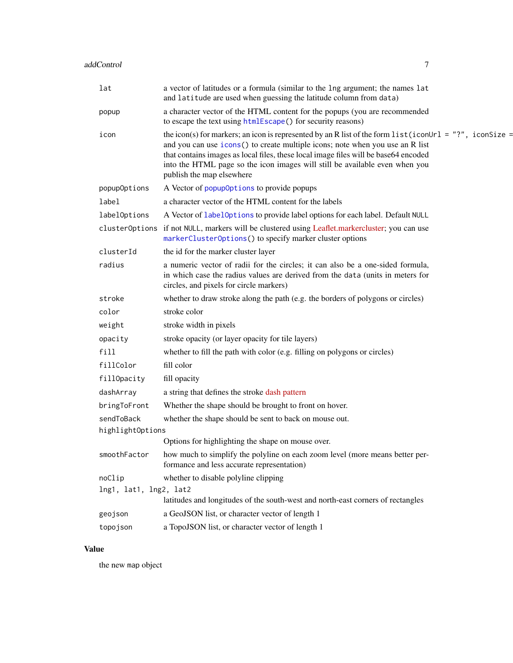<span id="page-6-0"></span>

| lat                    | a vector of latitudes or a formula (similar to the lng argument; the names lat<br>and latitude are used when guessing the latitude column from data)                                                                                                                                                                                                                                         |
|------------------------|----------------------------------------------------------------------------------------------------------------------------------------------------------------------------------------------------------------------------------------------------------------------------------------------------------------------------------------------------------------------------------------------|
| popup                  | a character vector of the HTML content for the popups (you are recommended<br>to escape the text using htmlEscape() for security reasons)                                                                                                                                                                                                                                                    |
| icon                   | the icon(s) for markers; an icon is represented by an R list of the form list (iconUrl = "?", iconSize =<br>and you can use icons() to create multiple icons; note when you use an R list<br>that contains images as local files, these local image files will be base64 encoded<br>into the HTML page so the icon images will still be available even when you<br>publish the map elsewhere |
| popupOptions           | A Vector of popup0ptions to provide popups                                                                                                                                                                                                                                                                                                                                                   |
| label                  | a character vector of the HTML content for the labels                                                                                                                                                                                                                                                                                                                                        |
| labelOptions           | A Vector of labelOptions to provide label options for each label. Default NULL                                                                                                                                                                                                                                                                                                               |
| clusterOptions         | if not NULL, markers will be clustered using Leaflet.markercluster; you can use<br>markerClusterOptions() to specify marker cluster options                                                                                                                                                                                                                                                  |
| clusterId              | the id for the marker cluster layer                                                                                                                                                                                                                                                                                                                                                          |
| radius                 | a numeric vector of radii for the circles; it can also be a one-sided formula,<br>in which case the radius values are derived from the data (units in meters for<br>circles, and pixels for circle markers)                                                                                                                                                                                  |
| stroke                 | whether to draw stroke along the path (e.g. the borders of polygons or circles)                                                                                                                                                                                                                                                                                                              |
| color                  | stroke color                                                                                                                                                                                                                                                                                                                                                                                 |
| weight                 | stroke width in pixels                                                                                                                                                                                                                                                                                                                                                                       |
| opacity                | stroke opacity (or layer opacity for tile layers)                                                                                                                                                                                                                                                                                                                                            |
| fill                   | whether to fill the path with color (e.g. filling on polygons or circles)                                                                                                                                                                                                                                                                                                                    |
| fillColor              | fill color                                                                                                                                                                                                                                                                                                                                                                                   |
| fillOpacity            | fill opacity                                                                                                                                                                                                                                                                                                                                                                                 |
| dashArray              | a string that defines the stroke dash pattern                                                                                                                                                                                                                                                                                                                                                |
| bringToFront           | Whether the shape should be brought to front on hover.                                                                                                                                                                                                                                                                                                                                       |
| sendToBack             | whether the shape should be sent to back on mouse out.                                                                                                                                                                                                                                                                                                                                       |
| highlightOptions       |                                                                                                                                                                                                                                                                                                                                                                                              |
|                        | Options for highlighting the shape on mouse over.                                                                                                                                                                                                                                                                                                                                            |
| smoothFactor           | how much to simplify the polyline on each zoom level (more means better per-<br>formance and less accurate representation)                                                                                                                                                                                                                                                                   |
| noClip                 | whether to disable polyline clipping                                                                                                                                                                                                                                                                                                                                                         |
| lng1, lat1, lng2, lat2 | latitudes and longitudes of the south-west and north-east corners of rectangles                                                                                                                                                                                                                                                                                                              |
| geojson                | a GeoJSON list, or character vector of length 1                                                                                                                                                                                                                                                                                                                                              |
| topojson               | a TopoJSON list, or character vector of length 1                                                                                                                                                                                                                                                                                                                                             |
|                        |                                                                                                                                                                                                                                                                                                                                                                                              |

### Value

the new map object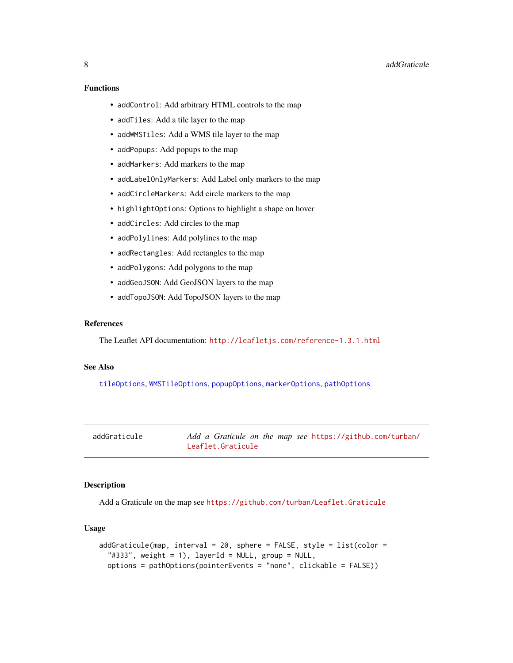### <span id="page-7-0"></span>Functions

- addControl: Add arbitrary HTML controls to the map
- addTiles: Add a tile layer to the map
- addWMSTiles: Add a WMS tile layer to the map
- addPopups: Add popups to the map
- addMarkers: Add markers to the map
- addLabelOnlyMarkers: Add Label only markers to the map
- addCircleMarkers: Add circle markers to the map
- highlightOptions: Options to highlight a shape on hover
- addCircles: Add circles to the map
- addPolylines: Add polylines to the map
- addRectangles: Add rectangles to the map
- addPolygons: Add polygons to the map
- addGeoJSON: Add GeoJSON layers to the map
- addTopoJSON: Add TopoJSON layers to the map

### References

The Leaflet API documentation: <http://leafletjs.com/reference-1.3.1.html>

#### See Also

[tileOptions](#page-52-2), [WMSTileOptions](#page-52-1), [popupOptions](#page-52-1), [markerOptions](#page-52-1), [pathOptions](#page-52-1)

| addGraticule | Add a Graticule on the map see https://github.com/turban/ |
|--------------|-----------------------------------------------------------|
|              | Leaflet.Graticule                                         |

#### Description

Add a Graticule on the map see <https://github.com/turban/Leaflet.Graticule>

### Usage

```
addGraticule(map, interval = 20, sphere = FALSE, style = list(color =
  "#333", weight = 1), layerId = NULL, group = NULL,
  options = pathOptions(pointerEvents = "none", clickable = FALSE))
```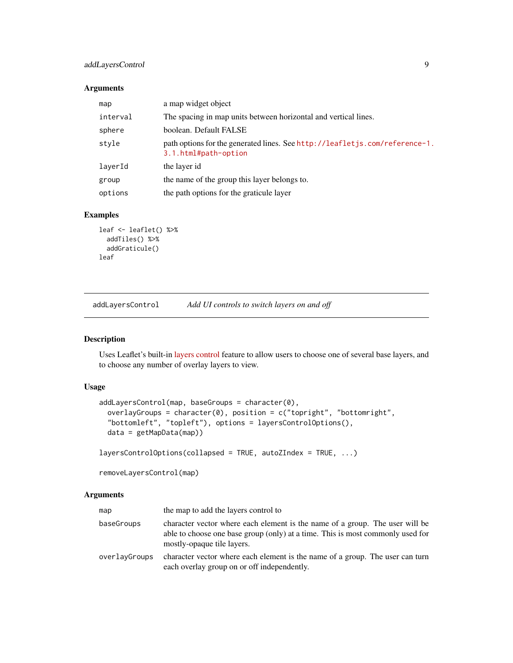### <span id="page-8-0"></span>addLayersControl 9

#### Arguments

| map      | a map widget object                                                                                 |
|----------|-----------------------------------------------------------------------------------------------------|
| interval | The spacing in map units between horizontal and vertical lines.                                     |
| sphere   | boolean. Default FALSE                                                                              |
| style    | path options for the generated lines. See http://leafletjs.com/reference-1.<br>3.1.html#path-option |
| laverId  | the layer id                                                                                        |
| group    | the name of the group this layer belongs to.                                                        |
| options  | the path options for the graticule layer                                                            |

#### Examples

```
leaf <- leaflet() %>%
  addTiles() %>%
  addGraticule()
leaf
```
<span id="page-8-1"></span>addLayersControl *Add UI controls to switch layers on and off*

### Description

Uses Leaflet's built-in [layers control](http://leafletjs.com/reference-1.3.1.html#control-layers) feature to allow users to choose one of several base layers, and to choose any number of overlay layers to view.

### Usage

```
addLayersControl(map, baseGroups = character(0),
 overlayGroups = character(0), position = c("topright", "bottomright","bottomleft", "topleft"), options = layersControlOptions(),
  data = getMapData(map))
```

```
layersControlOptions(collapsed = TRUE, autoZIndex = TRUE, ...)
```
removeLayersControl(map)

#### Arguments

| map           | the map to add the layers control to                                                                                                                                                         |
|---------------|----------------------------------------------------------------------------------------------------------------------------------------------------------------------------------------------|
| baseGroups    | character vector where each element is the name of a group. The user will be<br>able to choose one base group (only) at a time. This is most commonly used for<br>mostly-opaque tile layers. |
| overlayGroups | character vector where each element is the name of a group. The user can turn<br>each overlay group on or off independently.                                                                 |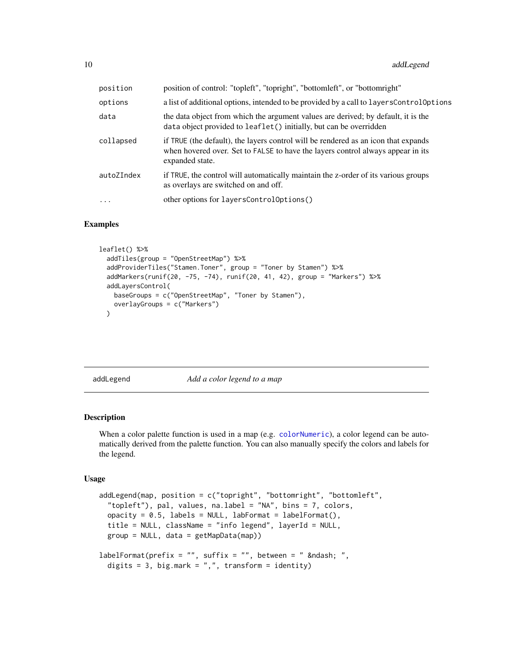<span id="page-9-0"></span>

| position   | position of control: "topleft", "topright", "bottomleft", or "bottomright"                                                                                                               |
|------------|------------------------------------------------------------------------------------------------------------------------------------------------------------------------------------------|
| options    | a list of additional options, intended to be provided by a call to layersControlOptions                                                                                                  |
| data       | the data object from which the argument values are derived; by default, it is the<br>data object provided to leaflet () initially, but can be overridden                                 |
| collapsed  | if TRUE (the default), the layers control will be rendered as an icon that expands<br>when hovered over. Set to FALSE to have the layers control always appear in its<br>expanded state. |
| autoZIndex | if TRUE, the control will automatically maintain the z-order of its various groups<br>as overlays are switched on and off.                                                               |
| $\cdots$   | other options for layersControlOptions()                                                                                                                                                 |

### Examples

```
leaflet() %>%
  addTiles(group = "OpenStreetMap") %>%
  addProviderTiles("Stamen.Toner", group = "Toner by Stamen") %>%
  addMarkers(runif(20, -75, -74), runif(20, 41, 42), group = "Markers") %>%
  addLayersControl(
   baseGroups = c("OpenStreetMap", "Toner by Stamen"),
   overlayGroups = c("Markers")
  \lambda
```
addLegend *Add a color legend to a map*

#### Description

When a color palette function is used in a map (e.g. [colorNumeric](#page-24-1)), a color legend can be automatically derived from the palette function. You can also manually specify the colors and labels for the legend.

#### Usage

```
addLegend(map, position = c("topright", "bottomright", "bottomleft",
  "topleft"), pal, values, na.label = "NA", bins = 7, colors,
 opacity = 0.5, labels = NULL, labFormat = labelFormat(),
  title = NULL, className = "info legend", layerId = NULL,
 group = NULL, data = getMapData(map))
labelFormat(prefix = "", suffix = "", between = " – ",
 digits = 3, big.mark = ",", transform = identity)
```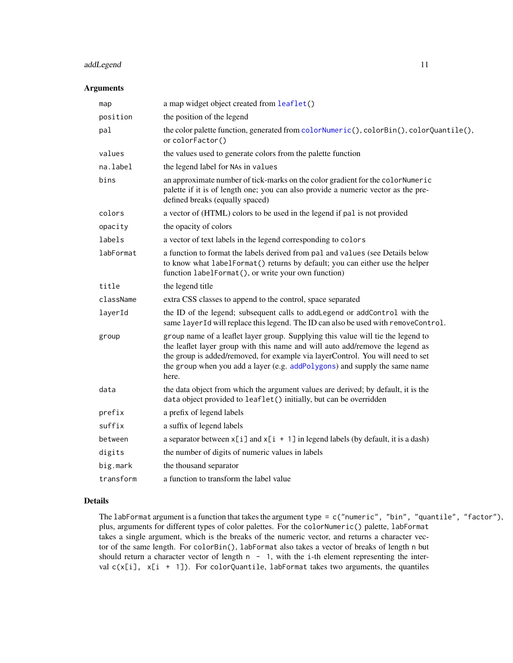### <span id="page-10-0"></span>addLegend 11

#### Arguments

| map       | a map widget object created from leaflet()                                                                                                                                                                                                                                                                                                 |
|-----------|--------------------------------------------------------------------------------------------------------------------------------------------------------------------------------------------------------------------------------------------------------------------------------------------------------------------------------------------|
| position  | the position of the legend                                                                                                                                                                                                                                                                                                                 |
| pal       | the color palette function, generated from colorNumeric(), colorBin(), colorQuantile(),<br>or colorFactor()                                                                                                                                                                                                                                |
| values    | the values used to generate colors from the palette function                                                                                                                                                                                                                                                                               |
| na.label  | the legend label for NAs in values                                                                                                                                                                                                                                                                                                         |
| bins      | an approximate number of tick-marks on the color gradient for the color Numeric<br>palette if it is of length one; you can also provide a numeric vector as the pre-<br>defined breaks (equally spaced)                                                                                                                                    |
| colors    | a vector of (HTML) colors to be used in the legend if pal is not provided                                                                                                                                                                                                                                                                  |
| opacity   | the opacity of colors                                                                                                                                                                                                                                                                                                                      |
| labels    | a vector of text labels in the legend corresponding to colors                                                                                                                                                                                                                                                                              |
| labFormat | a function to format the labels derived from pal and values (see Details below<br>to know what labelFormat() returns by default; you can either use the helper<br>function labelFormat(), or write your own function)                                                                                                                      |
| title     | the legend title                                                                                                                                                                                                                                                                                                                           |
| className | extra CSS classes to append to the control, space separated                                                                                                                                                                                                                                                                                |
| layerId   | the ID of the legend; subsequent calls to addLegend or addControl with the<br>same layerId will replace this legend. The ID can also be used with removeControl.                                                                                                                                                                           |
| group     | group name of a leaflet layer group. Supplying this value will tie the legend to<br>the leaflet layer group with this name and will auto add/remove the legend as<br>the group is added/removed, for example via layerControl. You will need to set<br>the group when you add a layer (e.g. addPolygons) and supply the same name<br>here. |
| data      | the data object from which the argument values are derived; by default, it is the<br>data object provided to leaflet() initially, but can be overridden                                                                                                                                                                                    |
| prefix    | a prefix of legend labels                                                                                                                                                                                                                                                                                                                  |
| suffix    | a suffix of legend labels                                                                                                                                                                                                                                                                                                                  |
| between   | a separator between $x[i]$ and $x[i + 1]$ in legend labels (by default, it is a dash)                                                                                                                                                                                                                                                      |
| digits    | the number of digits of numeric values in labels                                                                                                                                                                                                                                                                                           |
| big.mark  | the thousand separator                                                                                                                                                                                                                                                                                                                     |
| transform | a function to transform the label value                                                                                                                                                                                                                                                                                                    |

### Details

The labFormat argument is a function that takes the argument type = c("numeric", "bin", "quantile", "factor"), plus, arguments for different types of color palettes. For the colorNumeric() palette, labFormat takes a single argument, which is the breaks of the numeric vector, and returns a character vector of the same length. For colorBin(), labFormat also takes a vector of breaks of length n but should return a character vector of length  $n - 1$ , with the i-th element representing the interval  $c(x[i], x[i + 1])$ . For colorQuantile, labFormat takes two arguments, the quantiles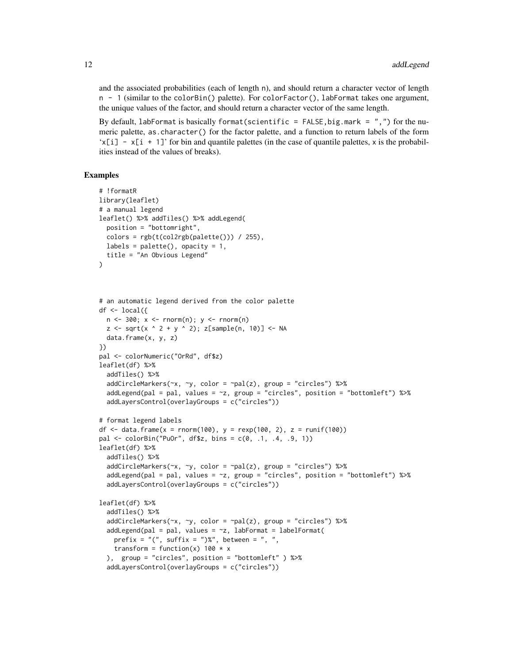and the associated probabilities (each of length n), and should return a character vector of length n - 1 (similar to the colorBin() palette). For colorFactor(), labFormat takes one argument, the unique values of the factor, and should return a character vector of the same length.

By default, labFormat is basically format(scientific = FALSE, big.mark =  $"$ ,") for the numeric palette, as.character() for the factor palette, and a function to return labels of the form  $x[i] - x[i + 1]'$  for bin and quantile palettes (in the case of quantile palettes, x is the probabilities instead of the values of breaks).

```
# !formatR
library(leaflet)
# a manual legend
leaflet() %>% addTiles() %>% addLegend(
  position = "bottomright",
  colors = rgb(t(col2rgb(palette))) / 255),labels = palette(), opacity = 1,
  title = "An Obvious Legend"
)
# an automatic legend derived from the color palette
df \le local({
 n <- 300; x <- rnorm(n); y <- rnorm(n)
  z \leq -sqrt(x \land 2 + y \land 2); z[sample(n, 10)] \leq NA
  data.frame(x, y, z)
})
pal <- colorNumeric("OrRd", df$z)
leaflet(df) %>%
  addTiles() %>%
  addCircleMarkers(\sim x, \sim y, color = \sim pal(z), group = "circles") %>%
  addLegend(pal = pal, values = \approxz, group = "circles", position = "bottomleft") %>%
  addLayersControl(overlayGroups = c("circles"))
# format legend labels
df <- data.frame(x = rnorm(100), y = rexp(100, 2), z = runif(100))
pal <- colorBin("PuOr", df$z, bins = c(0, .1, .4, .9, 1))
leaflet(df) %>%
  addTiles() %>%
  addCircleMarkers(\sim x, \sim y, color = \sim pal(z), group = "circles") %>%
  addLegend(pal = pal, values = \simz, group = "circles", position = "bottomleft") %\gg%
  addLayersControl(overlayGroups = c("circles"))
leaflet(df) %>%
  addTiles() %>%
  addCircleMarkers(\sim x, \sim y, color = \sim pal(z), group = "circles") %>%
  addLegend(pal = pal, values = -z, labFormat = labelFormat(
    prefix = "(", suffix = ")\", between = ", ",
    transform = function(x) 100 \times x), group = "circles", position = "bottomleft" ) %>%
  addLayersControl(overlayGroups = c("circles"))
```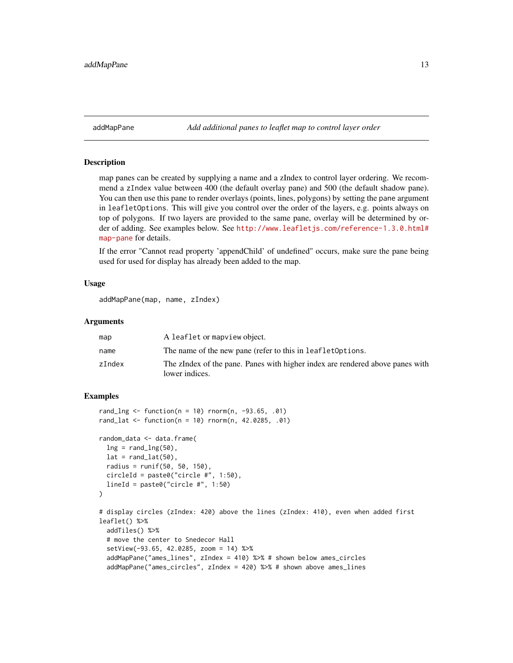<span id="page-12-0"></span>addMapPane *Add additional panes to leaflet map to control layer order*

### **Description**

map panes can be created by supplying a name and a zIndex to control layer ordering. We recommend a zIndex value between 400 (the default overlay pane) and 500 (the default shadow pane). You can then use this pane to render overlays (points, lines, polygons) by setting the pane argument in leafletOptions. This will give you control over the order of the layers, e.g. points always on top of polygons. If two layers are provided to the same pane, overlay will be determined by order of adding. See examples below. See [http://www.leafletjs.com/reference-1.3.0.html#](http://www.leafletjs.com/reference-1.3.0.html#map-pane) [map-pane](http://www.leafletjs.com/reference-1.3.0.html#map-pane) for details.

If the error "Cannot read property 'appendChild' of undefined" occurs, make sure the pane being used for used for display has already been added to the map.

#### Usage

addMapPane(map, name, zIndex)

### Arguments

| map    | A leaflet or mapview object.                                                                    |
|--------|-------------------------------------------------------------------------------------------------|
| name   | The name of the new pane (refer to this in leaflet Options.                                     |
| zIndex | The zIndex of the pane. Panes with higher index are rendered above panes with<br>lower indices. |

```
rand_{n} < - function(n = 10) rnorm(n, -93.65, .01)
rand_lat <- function(n = 10) rnorm(n, 42.0285, .01)random_data <- data.frame(
 ln g = rand_lng(50),
 lat = rand\_lat(50),
 radius = runif(50, 50, 150),
 circleId = paste0("circle #", 1:50),
 lineId = paste0("circle #", 1:50)
\mathcal{L}# display circles (zIndex: 420) above the lines (zIndex: 410), even when added first
leaflet() %>%
 addTiles() %>%
 # move the center to Snedecor Hall
 setView(-93.65, 42.0285, zoom = 14) %>%
 addMapPane("ames_lines", zIndex = 410) %>% # shown below ames_circles
 addMapPane("ames_circles", zIndex = 420) %>% # shown above ames_lines
```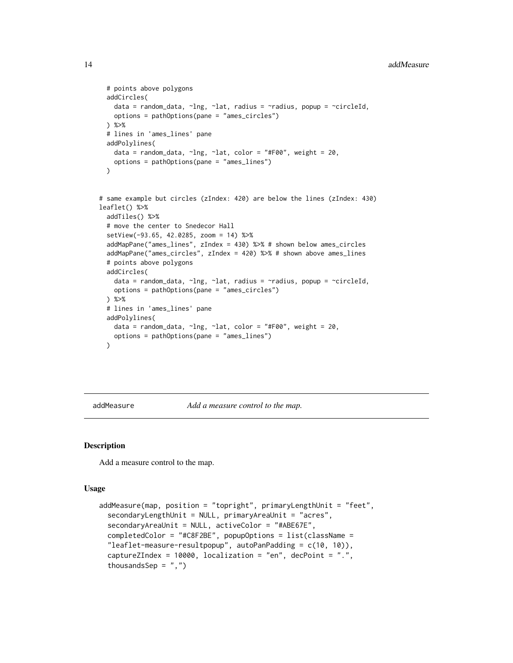```
# points above polygons
 addCircles(
   data = random_data, ~lng, ~lat, radius = ~radius, popup = ~circleId,
   options = pathOptions(pane = "ames_circles")
 ) %>%
 # lines in 'ames_lines' pane
 addPolylines(
   data = random_data, \simlng, \simlat, color = "#F00", weight = 20,
   options = pathOptions(pane = "ames_lines")
 \lambda# same example but circles (zIndex: 420) are below the lines (zIndex: 430)
leaflet() %>%
 addTiles() %>%
 # move the center to Snedecor Hall
 setView(-93.65, 42.0285, zoom = 14) %>%
 addMapPane("ames_lines", zIndex = 430) %>% # shown below ames_circles
 addMapPane("ames_circles", zIndex = 420) %>% # shown above ames_lines
 # points above polygons
 addCircles(
   data = random_data, ~lng, ~lat, radius = ~radius, popup = ~circleId,
   options = pathOptions(pane = "ames_circles")
 ) %>%
 # lines in 'ames_lines' pane
 addPolylines(
   data = random_data, \simlng, \simlat, color = "#F00", weight = 20,
   options = pathOptions(pane = "ames_lines")
 )
```
addMeasure *Add a measure control to the map.*

#### Description

Add a measure control to the map.

#### Usage

```
addMeasure(map, position = "topright", primaryLengthUnit = "feet",
  secondaryLengthUnit = NULL, primaryAreaUnit = "acres",
  secondaryAreaUnit = NULL, activeColor = "#ABE67E",
  completedColor = "#C8F2BE", popupOptions = list(className =
  "leaflet-measure-resultpopup", autoPanPadding = c(10, 10)),
  captureZIndex = 10000, localization = "en", decPoint = ".",
  thousandsSep = ",")
```
<span id="page-13-0"></span>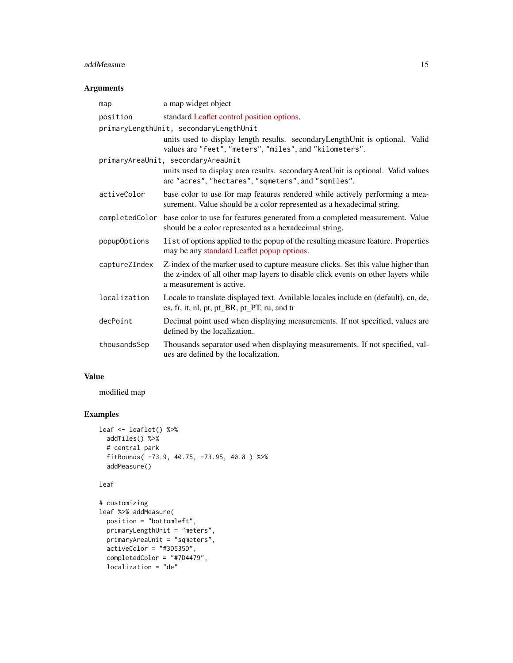### addMeasure 15

### Arguments

| map            | a map widget object                                                                                                                                                                               |
|----------------|---------------------------------------------------------------------------------------------------------------------------------------------------------------------------------------------------|
| position       | standard Leaflet control position options.                                                                                                                                                        |
|                | primaryLengthUnit, secondaryLengthUnit<br>units used to display length results. secondary Length Unit is optional. Valid<br>values are "feet", "meters", "miles", and "kilometers".               |
|                | primaryAreaUnit, secondaryAreaUnit                                                                                                                                                                |
|                | units used to display area results. secondary Area Unit is optional. Valid values<br>are "acres", "hectares", "sqmeters", and "sqmiles".                                                          |
| activeColor    | base color to use for map features rendered while actively performing a mea-<br>surement. Value should be a color represented as a hexadecimal string.                                            |
| completedColor | base color to use for features generated from a completed measurement. Value<br>should be a color represented as a hexadecimal string.                                                            |
| popupOptions   | list of options applied to the popup of the resulting measure feature. Properties<br>may be any standard Leaflet popup options.                                                                   |
| captureZIndex  | Z-index of the marker used to capture measure clicks. Set this value higher than<br>the z-index of all other map layers to disable click events on other layers while<br>a measurement is active. |
| localization   | Locale to translate displayed text. Available locales include en (default), cn, de,<br>es, fr, it, nl, pt, pt_BR, pt_PT, ru, and tr                                                               |
| decPoint       | Decimal point used when displaying measurements. If not specified, values are<br>defined by the localization.                                                                                     |
| thousandsSep   | Thousands separator used when displaying measurements. If not specified, val-<br>ues are defined by the localization.                                                                             |

### Value

modified map

```
leaf <- leaflet() %>%
  addTiles() %>%
  # central park
  fitBounds( -73.9, 40.75, -73.95, 40.8 ) %>%
  addMeasure()
leaf
```

```
# customizing
leaf %>% addMeasure(
```

```
position = "bottomleft",
primaryLengthUnit = "meters",
primaryAreaUnit = "sqmeters",
activeColor = "#3D535D",
completedColor = "#7D4479",
localization = "de"
```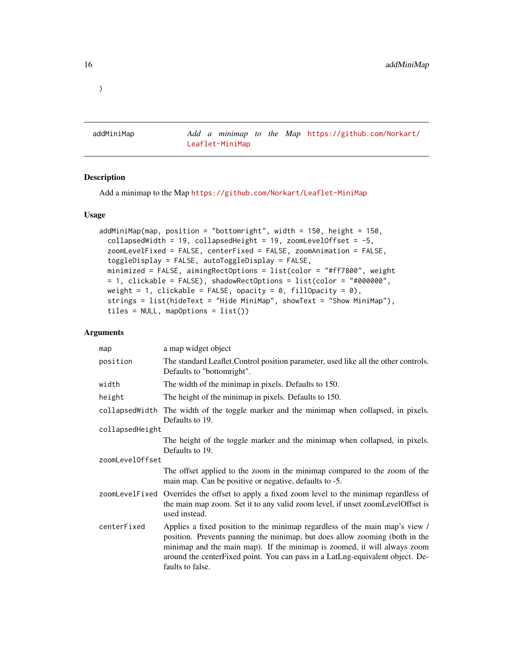addMiniMap *Add a minimap to the Map* [https://github.com/Norkart/](https://github.com/Norkart/Leaflet-MiniMap) [Leaflet-MiniMap](https://github.com/Norkart/Leaflet-MiniMap)

### Description

Add a minimap to the Map <https://github.com/Norkart/Leaflet-MiniMap>

#### Usage

```
addMiniMap(map, position = "bottomright", width = 150, height = 150,
  collapsedWidth = 19, collapsedHeight = 19, zoomLevelOffset = -5,
  zoomLevelFixed = FALSE, centerFixed = FALSE, zoomAnimation = FALSE,
  toggleDisplay = FALSE, autoToggleDisplay = FALSE,
  minimized = FALSE, aimingRectOptions = list(color = "#ff7800", weight
 = 1, clickable = FALSE), shadowRectOptions = list(color = "#000000",
 weight = 1, clickable = FALSE, opacity = 0, fillOpacity = 0),
  strings = list(hideText = "Hide MiniMap", showText = "Show MiniMap"),
  tiles = NULL, mapOptions = list()
```
### Arguments

| map             | a map widget object                                                                                                                                                                                                                                                                                                                         |  |
|-----------------|---------------------------------------------------------------------------------------------------------------------------------------------------------------------------------------------------------------------------------------------------------------------------------------------------------------------------------------------|--|
| position        | The standard Leaflet. Control position parameter, used like all the other controls.<br>Defaults to "bottomright".                                                                                                                                                                                                                           |  |
| width           | The width of the minimap in pixels. Defaults to 150.                                                                                                                                                                                                                                                                                        |  |
| height          | The height of the minimap in pixels. Defaults to 150.                                                                                                                                                                                                                                                                                       |  |
|                 | collapsed width The width of the toggle marker and the minimap when collapsed, in pixels.<br>Defaults to 19.                                                                                                                                                                                                                                |  |
| collapsedHeight |                                                                                                                                                                                                                                                                                                                                             |  |
|                 | The height of the toggle marker and the minimap when collapsed, in pixels.<br>Defaults to 19.                                                                                                                                                                                                                                               |  |
| zoomLevelOffset |                                                                                                                                                                                                                                                                                                                                             |  |
|                 | The offset applied to the zoom in the minimap compared to the zoom of the<br>main map. Can be positive or negative, defaults to -5.                                                                                                                                                                                                         |  |
|                 | zoomLevelFixed Overrides the offset to apply a fixed zoom level to the minimap regardless of<br>the main map zoom. Set it to any valid zoom level, if unset zoomLevelOffset is<br>used instead.                                                                                                                                             |  |
| centerFixed     | Applies a fixed position to the minimap regardless of the main map's view /<br>position. Prevents panning the minimap, but does allow zooming (both in the<br>minimap and the main map). If the minimap is zoomed, it will always zoom<br>around the centerFixed point. You can pass in a LatLng-equivalent object. De-<br>faults to false. |  |

### <span id="page-15-0"></span> $\lambda$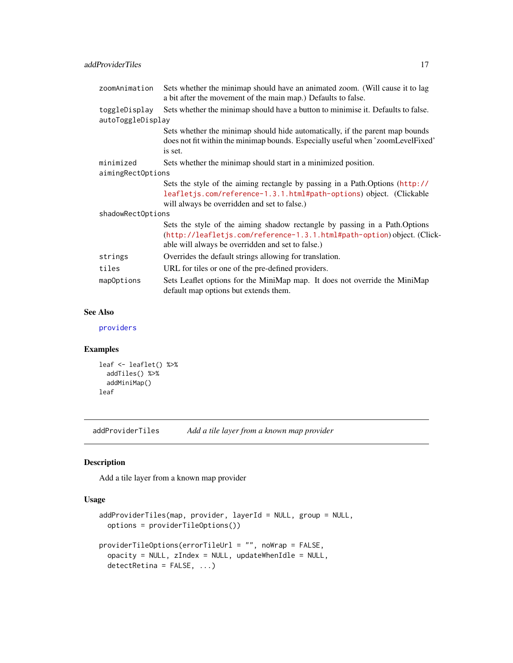<span id="page-16-0"></span>

| zoomAnimation                      | Sets whether the minimap should have an animated zoom. (Will cause it to lag<br>a bit after the movement of the main map.) Defaults to false.                                                              |
|------------------------------------|------------------------------------------------------------------------------------------------------------------------------------------------------------------------------------------------------------|
| toggleDisplay<br>autoToggleDisplay | Sets whether the minimap should have a button to minimise it. Defaults to false.                                                                                                                           |
|                                    | Sets whether the minimap should hide automatically, if the parent map bounds<br>does not fit within the minimap bounds. Especially useful when 'zoomLevelFixed'<br>is set.                                 |
| minimized                          | Sets whether the minimap should start in a minimized position.                                                                                                                                             |
| aimingRectOptions                  |                                                                                                                                                                                                            |
|                                    | Sets the style of the aiming rectangle by passing in a Path. Options (http://<br>leafletjs.com/reference-1.3.1.html#path-options) object. (Clickable<br>will always be overridden and set to false.)       |
| shadowRectOptions                  |                                                                                                                                                                                                            |
|                                    | Sets the style of the aiming shadow rectangle by passing in a Path. Options<br>(http://leafletjs.com/reference-1.3.1.html#path-option)object. (Click-<br>able will always be overridden and set to false.) |
| strings                            | Overrides the default strings allowing for translation.                                                                                                                                                    |
| tiles                              | URL for tiles or one of the pre-defined providers.                                                                                                                                                         |
| mapOptions                         | Sets Leaflet options for the MiniMap map. It does not override the MiniMap                                                                                                                                 |

#### See Also

[providers](#page-47-1)

### Examples

```
leaf <- leaflet() %>%
 addTiles() %>%
  addMiniMap()
leaf
```
addProviderTiles *Add a tile layer from a known map provider*

default map options but extends them.

### Description

Add a tile layer from a known map provider

#### Usage

```
addProviderTiles(map, provider, layerId = NULL, group = NULL,
 options = providerTileOptions())
providerTileOptions(errorTileUrl = "", noWrap = FALSE,
  opacity = NULL, zIndex = NULL, updateWhenIdle = NULL,
  detectRetina = FALSE, ...)
```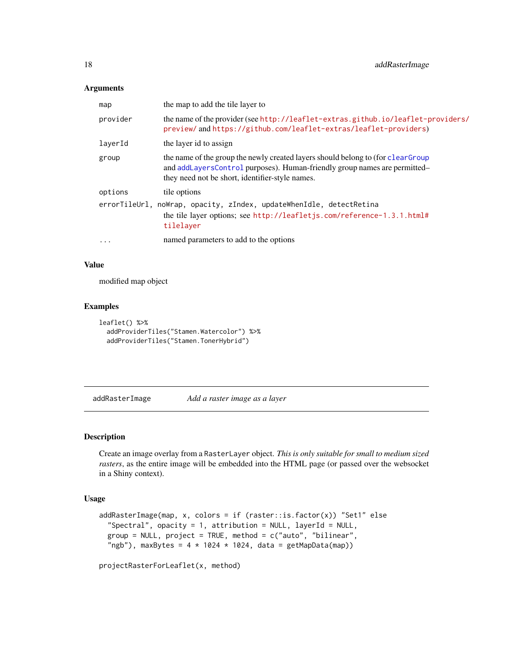### <span id="page-17-0"></span>Arguments

| map      | the map to add the tile layer to                                                                                                                                                                                 |
|----------|------------------------------------------------------------------------------------------------------------------------------------------------------------------------------------------------------------------|
| provider | the name of the provider (see http://leaflet-extras.github.io/leaflet-providers/<br>preview/andhttps://github.com/leaflet-extras/leaflet-providers)                                                              |
| laverId  | the layer id to assign                                                                                                                                                                                           |
| group    | the name of the group the newly created layers should belong to (for clear Group<br>and addLayersControl purposes). Human-friendly group names are permitted-<br>they need not be short, identifier-style names. |
| options  | tile options                                                                                                                                                                                                     |
|          | errorTileUrl, noWrap, opacity, zIndex, updateWhenIdle, detectRetina<br>the tile layer options; see http://leafletjs.com/reference-1.3.1.html#<br>tilelayer                                                       |
| $\cdots$ | named parameters to add to the options                                                                                                                                                                           |

#### Value

modified map object

### Examples

```
leaflet() %>%
  addProviderTiles("Stamen.Watercolor") %>%
  addProviderTiles("Stamen.TonerHybrid")
```
addRasterImage *Add a raster image as a layer*

### Description

Create an image overlay from a RasterLayer object. *This is only suitable for small to medium sized rasters*, as the entire image will be embedded into the HTML page (or passed over the websocket in a Shiny context).

### Usage

```
addRasterImage(map, x, colors = if (raster::is.factor(x)) "Set1" else
  "Spectral", opacity = 1, attribution = NULL, layerId = NULL,
  group = NULL, project = TRUE, method = c("auto", "bilinear","ngb"), maxBytes = 4 \times 1024 \times 1024, data = getMapData(map))
```
projectRasterForLeaflet(x, method)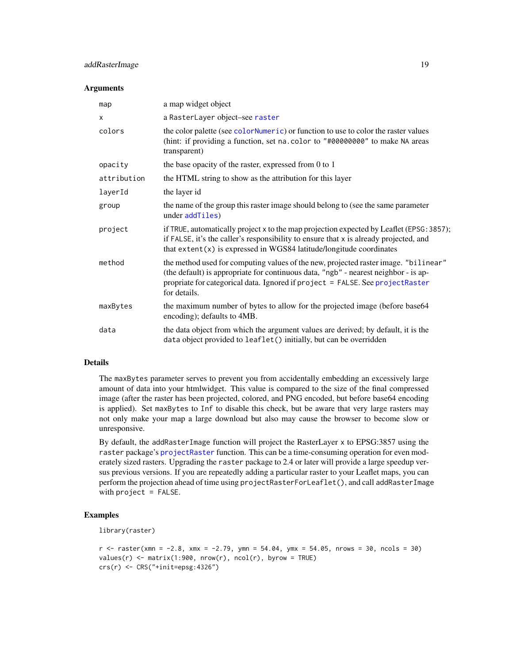### <span id="page-18-0"></span>addRasterImage 19

#### **Arguments**

| map          | a map widget object                                                                                                                                                                                                                                                         |
|--------------|-----------------------------------------------------------------------------------------------------------------------------------------------------------------------------------------------------------------------------------------------------------------------------|
| $\mathsf{x}$ | a RasterLayer object-see raster                                                                                                                                                                                                                                             |
| colors       | the color palette (see colorNumeric) or function to use to color the raster values<br>(hint: if providing a function, set na. color to "#00000000" to make NA areas<br>transparent)                                                                                         |
| opacity      | the base opacity of the raster, expressed from 0 to 1                                                                                                                                                                                                                       |
| attribution  | the HTML string to show as the attribution for this layer                                                                                                                                                                                                                   |
| layerId      | the layer id                                                                                                                                                                                                                                                                |
| group        | the name of the group this raster image should belong to (see the same parameter<br>under addTiles)                                                                                                                                                                         |
| project      | if TRUE, automatically project x to the map projection expected by Leaflet (EPSG: 3857);<br>if FALSE, it's the caller's responsibility to ensure that x is already projected, and<br>that $ext{ent}(x)$ is expressed in WGS84 latitude/longitude coordinates                |
| method       | the method used for computing values of the new, projected raster image. "bilinear"<br>(the default) is appropriate for continuous data, "ngb" - nearest neighbor - is ap-<br>propriate for categorical data. Ignored if project = FALSE. See projectRaster<br>for details. |
| maxBytes     | the maximum number of bytes to allow for the projected image (before base64<br>encoding); defaults to 4MB.                                                                                                                                                                  |
| data         | the data object from which the argument values are derived; by default, it is the<br>data object provided to leaflet() initially, but can be overridden                                                                                                                     |

### Details

The maxBytes parameter serves to prevent you from accidentally embedding an excessively large amount of data into your htmlwidget. This value is compared to the size of the final compressed image (after the raster has been projected, colored, and PNG encoded, but before base64 encoding is applied). Set maxBytes to Inf to disable this check, but be aware that very large rasters may not only make your map a large download but also may cause the browser to become slow or unresponsive.

By default, the addRasterImage function will project the RasterLayer x to EPSG:3857 using the raster package's [projectRaster](#page-0-0) function. This can be a time-consuming operation for even moderately sized rasters. Upgrading the raster package to 2.4 or later will provide a large speedup versus previous versions. If you are repeatedly adding a particular raster to your Leaflet maps, you can perform the projection ahead of time using projectRasterForLeaflet(), and call addRasterImage with  $project = FALSE$ .

```
library(raster)
```

```
r <- raster(xmn = -2.8, xmx = -2.79, ymn = 54.04, ymx = 54.05, nrows = 30, ncols = 30)
values(r) \leq matrix(1:900, nrow(r), ncol(r), byrow = TRUE)
crs(r) <- CRS("+init=epsg:4326")
```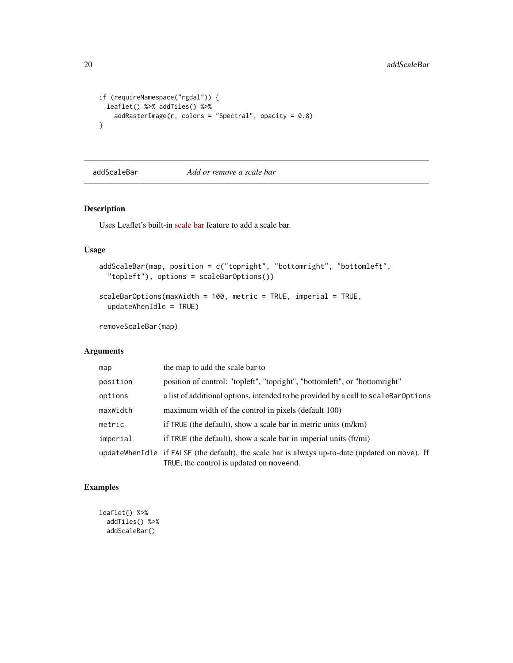```
if (requireNamespace("rgdal")) {
  leaflet() %>% addTiles() %>%
   addRasterImage(r, colors = "Spectral", opacity = 0.8)}
```
#### addScaleBar *Add or remove a scale bar*

### Description

Uses Leaflet's built-in [scale bar](http://leafletjs.com/reference-1.3.1.html#control-scale) feature to add a scale bar.

### Usage

```
addScaleBar(map, position = c("topright", "bottomright", "bottomleft",
  "topleft"), options = scaleBarOptions())
```

```
scaleBarOptions(maxWidth = 100, metric = TRUE, imperial = TRUE,
 updateWhenIdle = TRUE)
```
removeScaleBar(map)

### Arguments

| map      | the map to add the scale bar to                                                                                                             |
|----------|---------------------------------------------------------------------------------------------------------------------------------------------|
| position | position of control: "topleft", "topright", "bottomleft", or "bottomright"                                                                  |
| options  | a list of additional options, intended to be provided by a call to scale BarOptions                                                         |
| maxWidth | maximum width of the control in pixels (default 100)                                                                                        |
| metric   | if TRUE (the default), show a scale bar in metric units (m/km)                                                                              |
| imperial | if TRUE (the default), show a scale bar in imperial units $(ft/mi)$                                                                         |
|          | updateWhenIdle if FALSE (the default), the scale bar is always up-to-date (updated on move). If<br>TRUE, the control is updated on moveend. |

```
leaflet() %>%
 addTiles() %>%
 addScaleBar()
```
<span id="page-19-0"></span>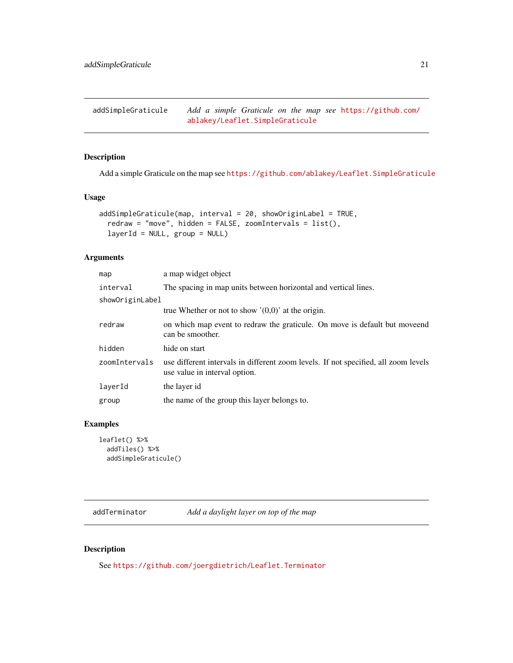<span id="page-20-0"></span>addSimpleGraticule *Add a simple Graticule on the map see* [https://github.com/](https://github.com/ablakey/Leaflet.SimpleGraticule) [ablakey/Leaflet.SimpleGraticule](https://github.com/ablakey/Leaflet.SimpleGraticule)

### Description

Add a simple Graticule on the map see <https://github.com/ablakey/Leaflet.SimpleGraticule>

### Usage

```
addSimpleGraticule(map, interval = 20, showOriginLabel = TRUE,
  redraw = "move", hidden = FALSE, zoomIntervals = list(),
  layerId = NULL, group = NULL)
```
### Arguments

| map             | a map widget object                                                                                                  |  |
|-----------------|----------------------------------------------------------------------------------------------------------------------|--|
| interval        | The spacing in map units between horizontal and vertical lines.                                                      |  |
| showOriginLabel |                                                                                                                      |  |
|                 | true Whether or not to show $'(0,0)$ at the origin.                                                                  |  |
| redraw          | on which map event to redraw the graticule. On move is default but moveend<br>can be smoother.                       |  |
| hidden          | hide on start                                                                                                        |  |
| zoomIntervals   | use different intervals in different zoom levels. If not specified, all zoom levels<br>use value in interval option. |  |
| layerId         | the layer id                                                                                                         |  |
| group           | the name of the group this layer belongs to.                                                                         |  |
|                 |                                                                                                                      |  |

### Examples

```
leaflet() %>%
  addTiles() %>%
  addSimpleGraticule()
```
addTerminator *Add a daylight layer on top of the map*

### Description

See <https://github.com/joergdietrich/Leaflet.Terminator>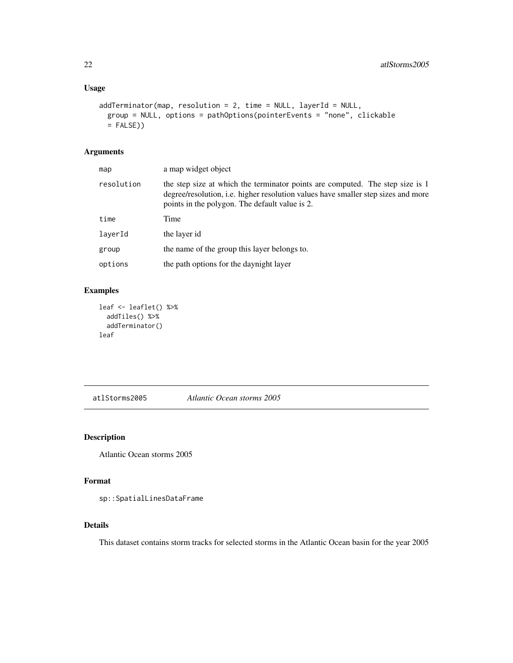### <span id="page-21-0"></span>Usage

```
addTerminator(map, resolution = 2, time = NULL, layerId = NULL,
 group = NULL, options = pathOptions(pointerEvents = "none", clickable
 = FALSE)
```
### Arguments

| map        | a map widget object                                                                                                                                                                                                         |
|------------|-----------------------------------------------------------------------------------------------------------------------------------------------------------------------------------------------------------------------------|
| resolution | the step size at which the terminator points are computed. The step size is 1<br>degree/resolution, <i>i.e.</i> higher resolution values have smaller step sizes and more<br>points in the polygon. The default value is 2. |
| time       | Time                                                                                                                                                                                                                        |
| layerId    | the layer id                                                                                                                                                                                                                |
| group      | the name of the group this layer belongs to.                                                                                                                                                                                |
| options    | the path options for the day night layer                                                                                                                                                                                    |
|            |                                                                                                                                                                                                                             |

### Examples

```
leaf <- leaflet() %>%
  addTiles() %>%
  addTerminator()
leaf
```
atlStorms2005 *Atlantic Ocean storms 2005*

### Description

Atlantic Ocean storms 2005

### Format

sp::SpatialLinesDataFrame

### Details

This dataset contains storm tracks for selected storms in the Atlantic Ocean basin for the year 2005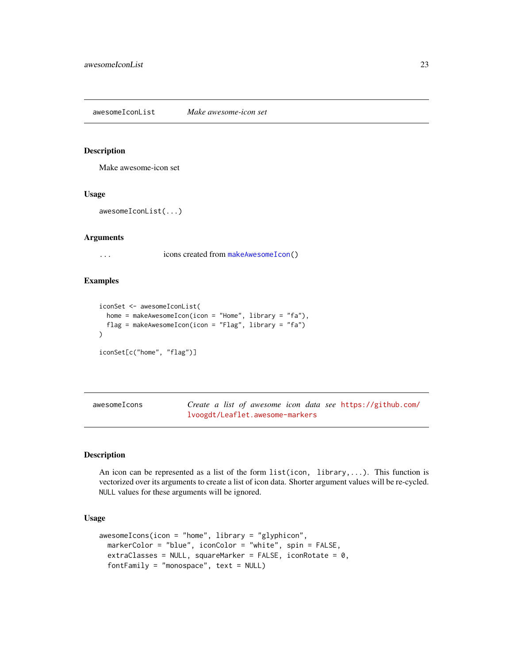#### <span id="page-22-0"></span>Description

Make awesome-icon set

#### Usage

```
awesomeIconList(...)
```
#### Arguments

... icons created from [makeAwesomeIcon\(](#page-45-1))

### Examples

```
iconSet <- awesomeIconList(
 home = makeAwesomeIcon(icon = "Home", library = "fa"),
 flag = makeAwesomeIcon(icon = "Flag", library = "fa")
\mathcal{L}iconSet[c("home", "flag")]
```

| awesomeIcons | Create a list of awesome icon data see https://github.com/ |
|--------------|------------------------------------------------------------|
|              | lvoogdt/Leaflet.awesome-markers                            |

### Description

An icon can be represented as a list of the form  $list(icon, library,...)$ . This function is vectorized over its arguments to create a list of icon data. Shorter argument values will be re-cycled. NULL values for these arguments will be ignored.

### Usage

```
awesomeIcons(icon = "home", library = "glyphicon",
 markerColor = "blue", iconColor = "white", spin = FALSE,
 extraClasses = NULL, squareMarker = FALSE, iconRotate = 0,
  fortFamily = "monospace", text = NULL)
```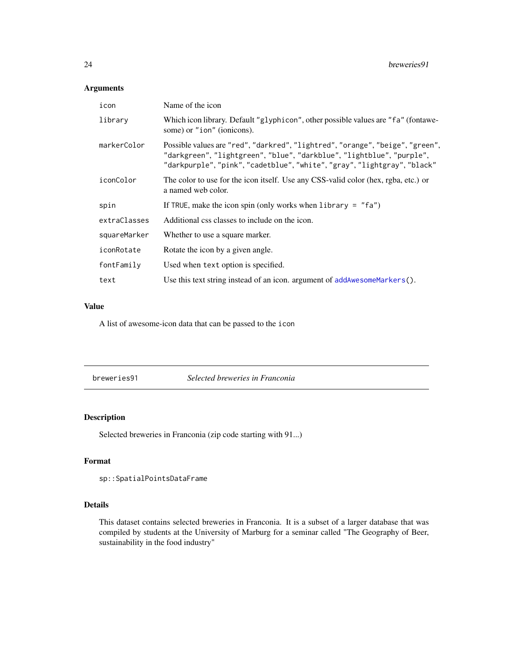### <span id="page-23-0"></span>Arguments

| icon         | Name of the icon                                                                                                                                                                                                                   |
|--------------|------------------------------------------------------------------------------------------------------------------------------------------------------------------------------------------------------------------------------------|
| library      | Which icon library. Default "glyphicon", other possible values are "fa" (fontawe-<br>some) or "ion" (ionicons).                                                                                                                    |
| markerColor  | Possible values are "red", "darkred", "lightred", "orange", "beige", "green",<br>"darkgreen", "lightgreen", "blue", "darkblue", "lightblue", "purple",<br>"darkpurple", "pink", "cadetblue", "white", "gray", "lightgray", "black" |
| iconColor    | The color to use for the icon itself. Use any CSS-valid color (hex, rgba, etc.) or<br>a named web color.                                                                                                                           |
| spin         | If TRUE, make the icon spin (only works when library = $"fa"$ )                                                                                                                                                                    |
| extraClasses | Additional css classes to include on the icon.                                                                                                                                                                                     |
| squareMarker | Whether to use a square marker.                                                                                                                                                                                                    |
| iconRotate   | Rotate the icon by a given angle.                                                                                                                                                                                                  |
| fontFamily   | Used when text option is specified.                                                                                                                                                                                                |
| text         | Use this text string instead of an icon. argument of $addAwesomeMarker s()$ .                                                                                                                                                      |

### Value

A list of awesome-icon data that can be passed to the icon

breweries91 *Selected breweries in Franconia*

### Description

Selected breweries in Franconia (zip code starting with 91...)

### Format

```
sp::SpatialPointsDataFrame
```
#### Details

This dataset contains selected breweries in Franconia. It is a subset of a larger database that was compiled by students at the University of Marburg for a seminar called "The Geography of Beer, sustainability in the food industry"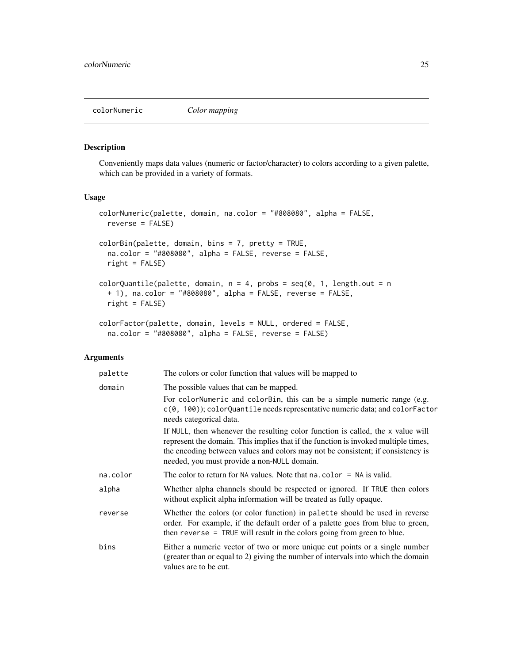<span id="page-24-1"></span><span id="page-24-0"></span>

### Description

Conveniently maps data values (numeric or factor/character) to colors according to a given palette, which can be provided in a variety of formats.

#### Usage

```
colorNumeric(palette, domain, na.color = "#808080", alpha = FALSE,
  reverse = FALSE)
colorBin(palette, domain, bins = 7, pretty = TRUE,
  na.color = "#808080", alpha = FALSE, reverse = FALSE,
  right = FALSE)
colorQuantile(palette, domain, n = 4, probs = seq(0, 1, length.out = n
 + 1), na.color = "#808080", alpha = FALSE, reverse = FALSE,
 right = FALSE)
colorFactor(palette, domain, levels = NULL, ordered = FALSE,
  na.color = "#808080", alpha = FALSE, reverse = FALSE)
```
#### Arguments

| palette  | The colors or color function that values will be mapped to                                                                                                                                                                                                                                              |
|----------|---------------------------------------------------------------------------------------------------------------------------------------------------------------------------------------------------------------------------------------------------------------------------------------------------------|
| domain   | The possible values that can be mapped.                                                                                                                                                                                                                                                                 |
|          | For colorNumeric and colorBin, this can be a simple numeric range (e.g.<br>$c(0, 100)$ ; colorQuantile needs representative numeric data; and colorFactor<br>needs categorical data.                                                                                                                    |
|          | If NULL, then whenever the resulting color function is called, the x value will<br>represent the domain. This implies that if the function is invoked multiple times,<br>the encoding between values and colors may not be consistent; if consistency is<br>needed, you must provide a non-NULL domain. |
| na.color | The color to return for NA values. Note that $na.color = NA$ is valid.                                                                                                                                                                                                                                  |
| alpha    | Whether alpha channels should be respected or ignored. If TRUE then colors<br>without explicit alpha information will be treated as fully opaque.                                                                                                                                                       |
| reverse  | Whether the colors (or color function) in palette should be used in reverse<br>order. For example, if the default order of a palette goes from blue to green,<br>then reverse $=$ TRUE will result in the colors going from green to blue.                                                              |
| bins     | Either a numeric vector of two or more unique cut points or a single number<br>(greater than or equal to 2) giving the number of intervals into which the domain<br>values are to be cut.                                                                                                               |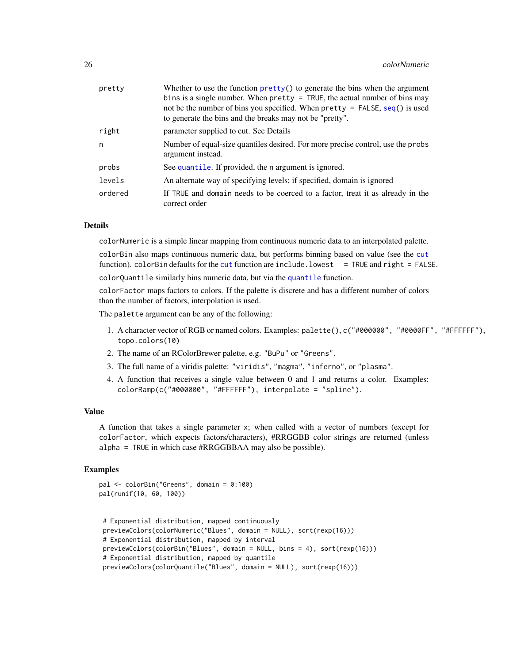<span id="page-25-0"></span>

| pretty  | Whether to use the function $\text{prety}()$ to generate the bins when the argument<br>bins is a single number. When pretty $=$ TRUE, the actual number of bins may<br>not be the number of bins you specified. When $\text{pretry} = \text{FALSE}, \text{seq}()$ is used<br>to generate the bins and the breaks may not be "pretty". |
|---------|---------------------------------------------------------------------------------------------------------------------------------------------------------------------------------------------------------------------------------------------------------------------------------------------------------------------------------------|
| right   | parameter supplied to cut. See Details                                                                                                                                                                                                                                                                                                |
| n.      | Number of equal-size quantiles desired. For more precise control, use the probs<br>argument instead.                                                                                                                                                                                                                                  |
| probs   | See quantile. If provided, the n argument is ignored.                                                                                                                                                                                                                                                                                 |
| levels  | An alternate way of specifying levels; if specified, domain is ignored                                                                                                                                                                                                                                                                |
| ordered | If TRUE and domain needs to be coerced to a factor, treat it as already in the<br>correct order                                                                                                                                                                                                                                       |

#### Details

colorNumeric is a simple linear mapping from continuous numeric data to an interpolated palette.

colorBin also maps continuous numeric data, but performs binning based on value (see the [cut](#page-0-0) function). colorBin defaults for the [cut](#page-0-0) function are include.lowest = TRUE and right = FALSE.

colorQuantile similarly bins numeric data, but via the [quantile](#page-0-0) function.

colorFactor maps factors to colors. If the palette is discrete and has a different number of colors than the number of factors, interpolation is used.

The palette argument can be any of the following:

- 1. A character vector of RGB or named colors. Examples: palette(), c("#000000", "#0000FF", "#FFFFFF"), topo.colors(10)
- 2. The name of an RColorBrewer palette, e.g. "BuPu" or "Greens".
- 3. The full name of a viridis palette: "viridis", "magma", "inferno", or "plasma".
- 4. A function that receives a single value between 0 and 1 and returns a color. Examples: colorRamp(c("#000000", "#FFFFFF"), interpolate = "spline").

#### Value

A function that takes a single parameter x; when called with a vector of numbers (except for colorFactor, which expects factors/characters), #RRGGBB color strings are returned (unless alpha = TRUE in which case #RRGGBBAA may also be possible).

```
pal <- colorBin("Greens", domain = 0:100)
pal(runif(10, 60, 100))
```

```
# Exponential distribution, mapped continuously
previewColors(colorNumeric("Blues", domain = NULL), sort(rexp(16)))
# Exponential distribution, mapped by interval
previewColors(colorBin("Blues", domain = NULL, bins = 4), sort(rexp(16)))
# Exponential distribution, mapped by quantile
previewColors(colorQuantile("Blues", domain = NULL), sort(rexp(16)))
```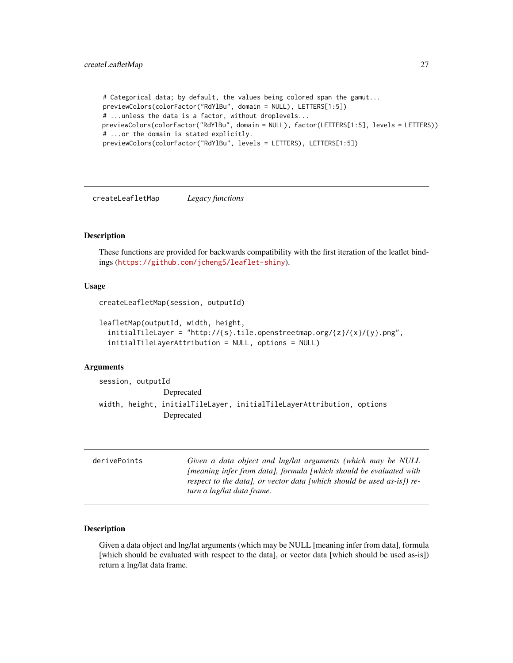```
# Categorical data; by default, the values being colored span the gamut...
previewColors(colorFactor("RdYlBu", domain = NULL), LETTERS[1:5])
# ...unless the data is a factor, without droplevels...
previewColors(colorFactor("RdYlBu", domain = NULL), factor(LETTERS[1:5], levels = LETTERS))
# ...or the domain is stated explicitly.
previewColors(colorFactor("RdYlBu", levels = LETTERS), LETTERS[1:5])
```
createLeafletMap *Legacy functions*

#### Description

These functions are provided for backwards compatibility with the first iteration of the leaflet bindings (<https://github.com/jcheng5/leaflet-shiny>).

#### Usage

```
createLeafletMap(session, outputId)
```

```
leafletMap(outputId, width, height,
 initialTileLayer = "http://{s}.tile.openstreetmap.org/{z}/{x}/{y}.png",
  initialTileLayerAttribution = NULL, options = NULL)
```
#### Arguments

```
session, outputId
               Deprecated
width, height, initialTileLayer, initialTileLayerAttribution, options
               Deprecated
```

| derivePoints | Given a data object and lng/lat arguments (which may be NULL              |
|--------------|---------------------------------------------------------------------------|
|              | <i>Imeaning infer from data], formula [which should be evaluated with</i> |
|              | respect to the data), or vector data [which should be used as-is]) re-    |
|              | turn a lng/lat data frame.                                                |

#### Description

Given a data object and lng/lat arguments (which may be NULL [meaning infer from data], formula [which should be evaluated with respect to the data], or vector data [which should be used as-is]) return a lng/lat data frame.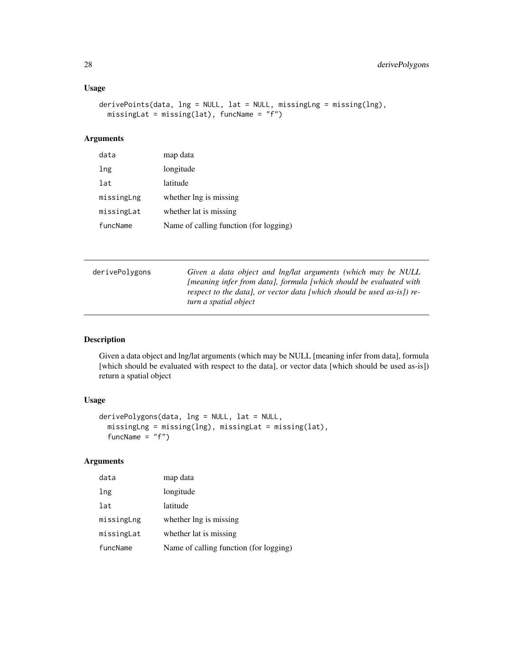### <span id="page-27-0"></span>Usage

```
derivePoints(data, lng = NULL, lat = NULL, missingLng = missing(lng),
 missingLat = missing(lat), funcName = "f")
```
### Arguments

| data       | map data                               |
|------------|----------------------------------------|
| lng        | longitude                              |
| lat        | latitude                               |
| missingLng | whether lng is missing                 |
| missingLat | whether lat is missing                 |
| funcName   | Name of calling function (for logging) |

| derivePolygons | Given a data object and lng/lat arguments (which may be NULL              |
|----------------|---------------------------------------------------------------------------|
|                | <i>Imeaning infer from data), formula [which should be evaluated with</i> |
|                | respect to the data), or vector data (which should be used as-is) re-     |
|                | turn a spatial object                                                     |

### Description

Given a data object and lng/lat arguments (which may be NULL [meaning infer from data], formula [which should be evaluated with respect to the data], or vector data [which should be used as-is]) return a spatial object

### Usage

```
derivePolygons(data, lng = NULL, lat = NULL,
 missingLng = missing(lng), missingLat = missing(lat),
  funcName = "f")
```
### Arguments

| data       | map data                               |
|------------|----------------------------------------|
| lng        | longitude                              |
| lat        | latitude                               |
| missingLng | whether lng is missing                 |
| missingLat | whether lat is missing                 |
| funcName   | Name of calling function (for logging) |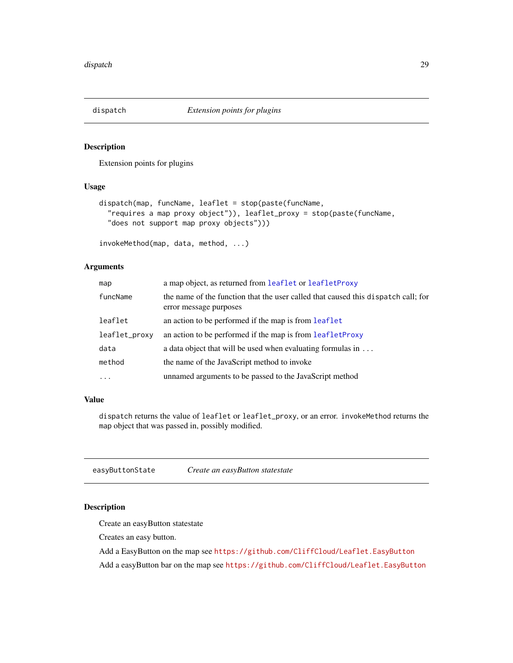<span id="page-28-0"></span>

### Description

Extension points for plugins

### Usage

```
dispatch(map, funcName, leaflet = stop(paste(funcName,
  "requires a map proxy object")), leaflet_proxy = stop(paste(funcName,
 "does not support map proxy objects")))
```

```
invokeMethod(map, data, method, ...)
```
### Arguments

| map           | a map object, as returned from leaflet or leaflet Proxy                                                     |
|---------------|-------------------------------------------------------------------------------------------------------------|
| funcName      | the name of the function that the user called that caused this dispatch call; for<br>error message purposes |
| leaflet       | an action to be performed if the map is from leaflet                                                        |
| leaflet_proxy | an action to be performed if the map is from leaflet Proxy                                                  |
| data          | a data object that will be used when evaluating formulas in $\dots$                                         |
| method        | the name of the JavaScript method to invoke                                                                 |
| $\cdots$      | unnamed arguments to be passed to the JavaScript method                                                     |

#### Value

dispatch returns the value of leaflet or leaflet\_proxy, or an error. invokeMethod returns the map object that was passed in, possibly modified.

easyButtonState *Create an easyButton statestate*

#### <span id="page-28-1"></span>Description

Create an easyButton statestate

Creates an easy button.

Add a EasyButton on the map see <https://github.com/CliffCloud/Leaflet.EasyButton>

Add a easyButton bar on the map see <https://github.com/CliffCloud/Leaflet.EasyButton>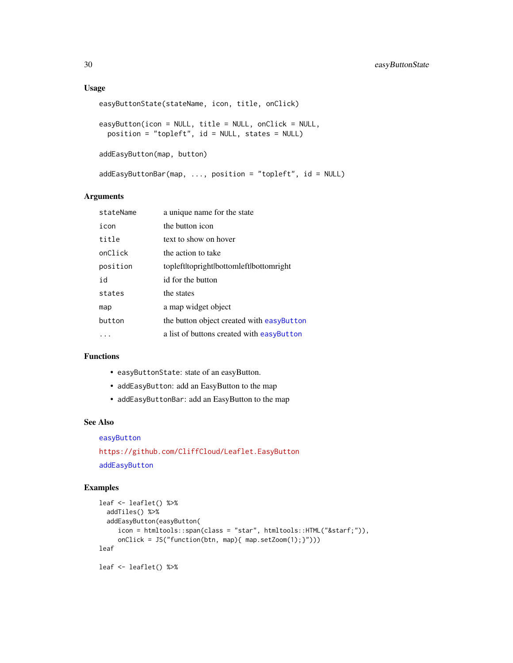#### <span id="page-29-0"></span>Usage

```
easyButtonState(stateName, icon, title, onClick)
easyButton(icon = NULL, title = NULL, onClick = NULL,
 position = "topleft", id = NULL, states = NULL)
addEasyButton(map, button)
addEasyButtonBar(map, ..., position = "topleft", id = NULL)
```
#### Arguments

| stateName | a unique name for the state               |
|-----------|-------------------------------------------|
| icon      | the button icon                           |
| title     | text to show on hover                     |
| onClick   | the action to take                        |
| position  | topleftltoprightlbottomleftlbottomright   |
| id        | id for the button                         |
| states    | the states                                |
| map       | a map widget object                       |
| button    | the button object created with easyButton |
|           | a list of buttons created with easyButton |
|           |                                           |

### Functions

- easyButtonState: state of an easyButton.
- addEasyButton: add an EasyButton to the map
- addEasyButtonBar: add an EasyButton to the map

#### See Also

### [easyButton](#page-28-1)

<https://github.com/CliffCloud/Leaflet.EasyButton> [addEasyButton](#page-28-1)

```
leaf <- leaflet() %>%
 addTiles() %>%
 addEasyButton(easyButton(
    icon = htmltools::span(class = "star", htmltools::HTML("★")),
     onClick = JS("function(btn, map){ map.setZoom(1);}")))
leaf
leaf <- leaflet() %>%
```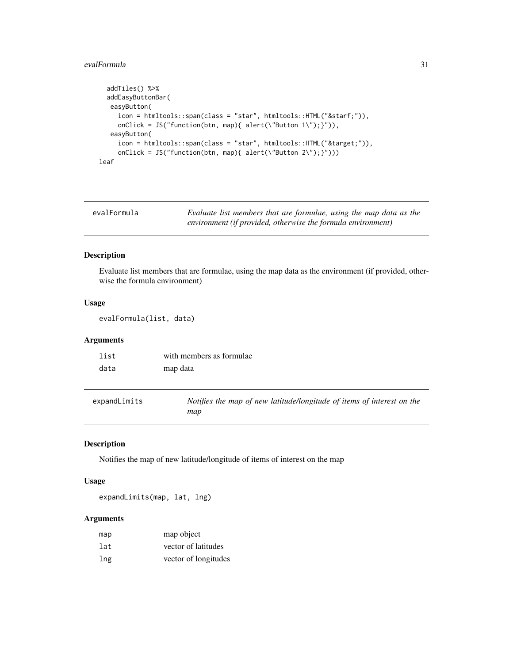#### <span id="page-30-0"></span>evalFormula 31

```
addTiles() %>%
 addEasyButtonBar(
  easyButton(
    icon = htmltools::span(class = "star", htmltools::HTML("★")),
    onClick = JS("function(btn, map){ alert(\"Button 1\");}")),
  easyButton(
    icon = htmltools::span(class = "star", htmltools::HTML("⌖")),
    onClick = JS("function(btn, map){ alert(\"Button 2\");}")))
leaf
```

| evalFormula | Evaluate list members that are formulae, using the map data as the |
|-------------|--------------------------------------------------------------------|
|             | environment (if provided, otherwise the formula environment)       |

### Description

Evaluate list members that are formulae, using the map data as the environment (if provided, otherwise the formula environment)

#### Usage

evalFormula(list, data)

### Arguments

| list | with members as formulae |
|------|--------------------------|
| data | map data                 |

| expandLimits | Notifies the map of new latitude/longitude of items of interest on the |
|--------------|------------------------------------------------------------------------|
|              | map                                                                    |

### Description

Notifies the map of new latitude/longitude of items of interest on the map

### Usage

expandLimits(map, lat, lng)

### Arguments

| map | map object           |
|-----|----------------------|
| lat | vector of latitudes  |
| lng | vector of longitudes |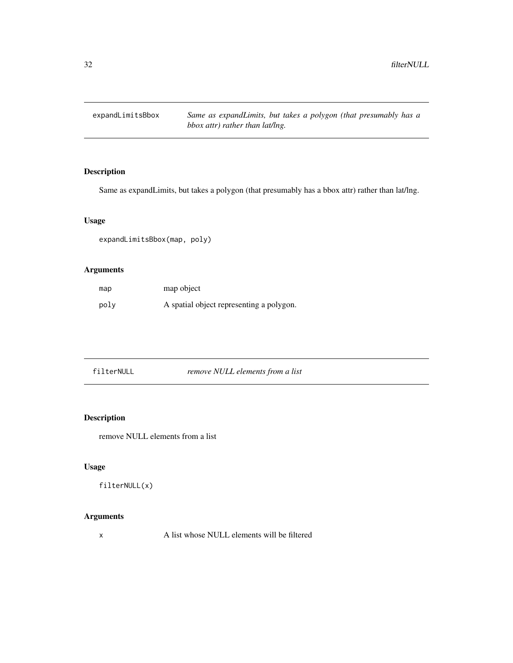<span id="page-31-0"></span>expandLimitsBbox *Same as expandLimits, but takes a polygon (that presumably has a bbox attr) rather than lat/lng.*

### Description

Same as expandLimits, but takes a polygon (that presumably has a bbox attr) rather than lat/lng.

### Usage

expandLimitsBbox(map, poly)

### Arguments

| map  | map object                               |
|------|------------------------------------------|
| poly | A spatial object representing a polygon. |

| filterNULL |  |
|------------|--|
|------------|--|

 $remove \ NULL \ elements from \ a \ list$ 

### Description

remove NULL elements from a list

### Usage

filterNULL(x)

### Arguments

x A list whose NULL elements will be filtered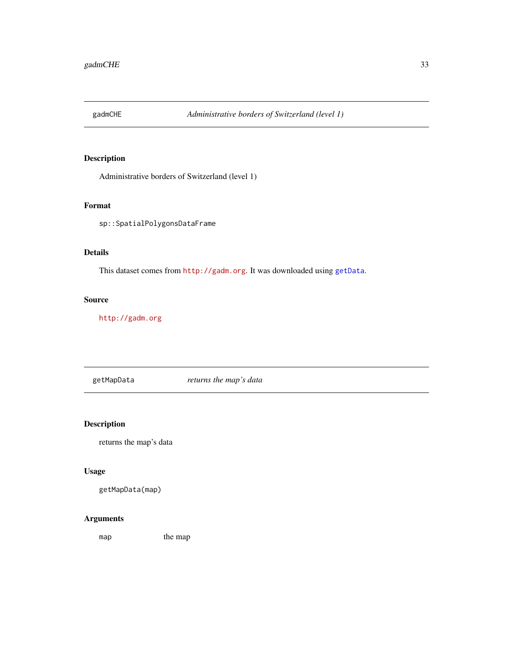<span id="page-32-0"></span>

### Description

Administrative borders of Switzerland (level 1)

### Format

sp::SpatialPolygonsDataFrame

### Details

This dataset comes from <http://gadm.org>. It was downloaded using [getData](#page-0-0).

### Source

<http://gadm.org>

getMapData *returns the map's data*

### Description

returns the map's data

### Usage

getMapData(map)

### Arguments

map the map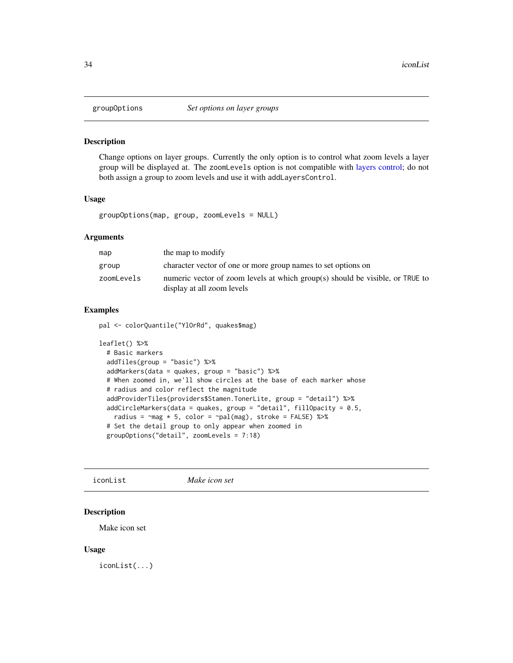<span id="page-33-0"></span>

#### Description

Change options on layer groups. Currently the only option is to control what zoom levels a layer group will be displayed at. The zoomLevels option is not compatible with [layers control;](#page-8-1) do not both assign a group to zoom levels and use it with addLayersControl.

#### Usage

groupOptions(map, group, zoomLevels = NULL)

#### Arguments

| map        | the map to modify                                                                                           |
|------------|-------------------------------------------------------------------------------------------------------------|
| group      | character vector of one or more group names to set options on                                               |
| zoomLevels | numeric vector of zoom levels at which group(s) should be visible, or TRUE to<br>display at all zoom levels |

### Examples

pal <- colorQuantile("YlOrRd", quakes\$mag)

```
leaflet() %>%
  # Basic markers
  addTiles(group = "basic") %>%
  addMarkers(data = quakes, group = "basic") %>%
  # When zoomed in, we'll show circles at the base of each marker whose
  # radius and color reflect the magnitude
  addProviderTiles(providers$Stamen.TonerLite, group = "detail") %>%
  addCircleMarkers(data = quakes, group = "detail", fillOpacity = 0.5,
   radius = \negmag * 5, color = \negpal(mag), stroke = FALSE) %>%
  # Set the detail group to only appear when zoomed in
  groupOptions("detail", zoomLevels = 7:18)
```
iconList *Make icon set*

### Description

Make icon set

#### Usage

iconList(...)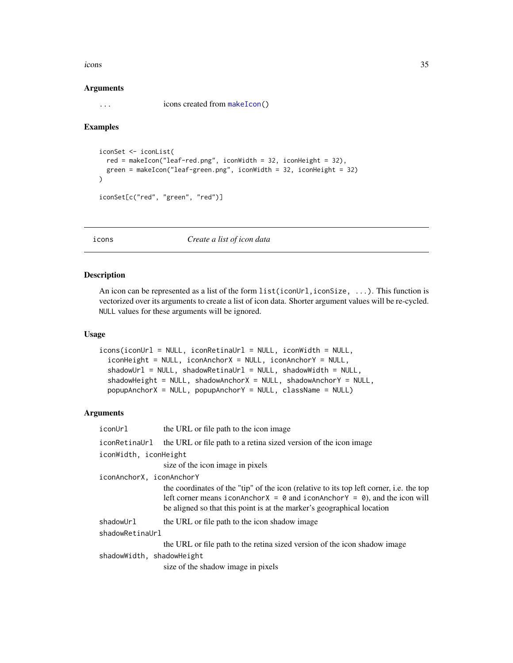<span id="page-34-0"></span>icons 35

#### Arguments

... icons created from [makeIcon\(](#page-45-2))

#### Examples

```
iconSet <- iconList(
 red = makeIcon("leaf-red.png", iconWidth = 32, iconHeight = 32),
 green = makeIcon("leaf-green.png", iconWidth = 32, iconHeight = 32)
\mathcal{L}iconSet[c("red", "green", "red")]
```
#### <span id="page-34-1"></span>icons *Create a list of icon data*

#### Description

An icon can be represented as a list of the form  $list(iconUr1,iconSize, \ldots)$ . This function is vectorized over its arguments to create a list of icon data. Shorter argument values will be re-cycled. NULL values for these arguments will be ignored.

#### Usage

```
icons(iconUrl = NULL, iconRetinaUrl = NULL, iconWidth = NULL,
  iconHeight = NULL, iconAnchorX = NULL, iconAnchorY = NULL,
  shadowUrl = NULL, shadowRetinaUrl = NULL, shadowWidth = NULL,
  shadowHeight = NULL, shadowAnchorX = NULL, shadowAnchorY = NULL,
  popupAnchorX = NULL, popupAnchorY = NULL, className = NULL)
```
#### Arguments

iconUrl the URL or file path to the icon image

iconRetinaUrl the URL or file path to a retina sized version of the icon image

iconWidth, iconHeight

size of the icon image in pixels

iconAnchorX, iconAnchorY

the coordinates of the "tip" of the icon (relative to its top left corner, i.e. the top left corner means iconAnchorX =  $\theta$  and iconAnchorY =  $\theta$ ), and the icon will be aligned so that this point is at the marker's geographical location

shadowUrl the URL or file path to the icon shadow image

shadowRetinaUrl

the URL or file path to the retina sized version of the icon shadow image

shadowWidth, shadowHeight

size of the shadow image in pixels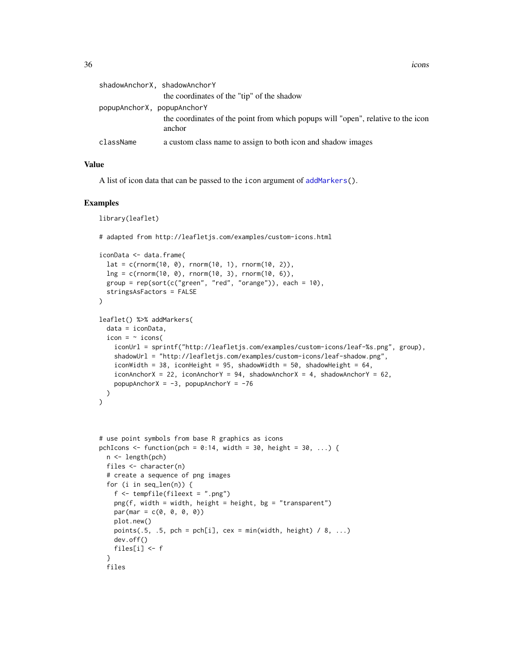<span id="page-35-0"></span>36 icons

| shadowAnchorX, shadowAnchorY |                                                                                            |
|------------------------------|--------------------------------------------------------------------------------------------|
|                              | the coordinates of the "tip" of the shadow                                                 |
| popupAnchorX, popupAnchorY   |                                                                                            |
|                              | the coordinates of the point from which popups will "open", relative to the icon<br>anchor |
| className                    | a custom class name to assign to both icon and shadow images                               |

### Value

A list of icon data that can be passed to the icon argument of [addMarkers\(](#page-3-1)).

```
library(leaflet)
# adapted from http://leafletjs.com/examples/custom-icons.html
iconData <- data.frame(
  lat = c(rnorm(10, 0), rnorm(10, 1), rnorm(10, 2)),\ln g = c(\text{rnorm}(10, 0), \text{rnorm}(10, 3), \text{rnorm}(10, 6)),group = rep(sort(c("green", "red", "orange")), each = 10),
  stringsAsFactors = FALSE
)
leaflet() %>% addMarkers(
  data = iconData,
  icon = \sim icons(
    iconUrl = sprintf("http://leafletjs.com/examples/custom-icons/leaf-%s.png", group),
    shadowUrl = "http://leafletjs.com/examples/custom-icons/leaf-shadow.png",
    iconWidth = 38, iconHeight = 95, shadowWidth = 50, shadowHeight = 64,
    iconAnchorX = 22, iconAnchorY = 94, shadowAnchorX = 4, shadowAnchorY = 62,
    popupAnchorX = -3, popupAnchorY = -76)
)
# use point symbols from base R graphics as icons
pchIcons <- function(pch = 0:14, width = 30, height = 30, ...) {
  n <- length(pch)
  files <- character(n)
  # create a sequence of png images
  for (i in seq_len(n)) {
    f <- tempfile(fileext = ".png")
   ppg(f, width = width, height = height, bg = "transport")par(max = c(0, 0, 0, 0))plot.new()
   points(.5, .5, pch = pch[i], cex = min(width, height) / 8, ...)
   dev.off()
   files[i] <- f
  }
  files
```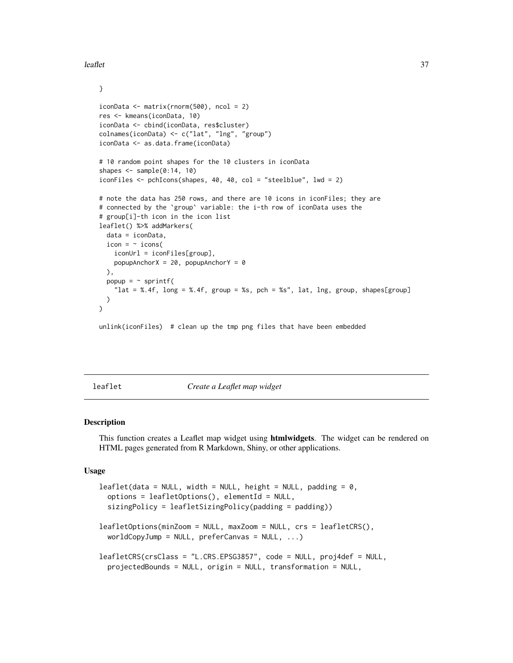<span id="page-36-0"></span>leaflet 37

```
}
iconData <- matrix(rnorm(500), ncol = 2)
res <- kmeans(iconData, 10)
iconData <- cbind(iconData, res$cluster)
colnames(iconData) <- c("lat", "lng", "group")
iconData <- as.data.frame(iconData)
# 10 random point shapes for the 10 clusters in iconData
shapes \leq sample(0:14, 10)
iconFiles <- pchIcons(shapes, 40, 40, col = "steelblue", lwd = 2)
# note the data has 250 rows, and there are 10 icons in iconFiles; they are
# connected by the `group` variable: the i-th row of iconData uses the
# group[i]-th icon in the icon list
leaflet() %>% addMarkers(
 data = iconData,
 icon = ~ : \text{ions}iconUrl = iconFiles[group],
   popupAnotherX = 20, popupAnotherY = 0),
 popup = ~ sprintf(
    "lat = %.4f, long = %.4f, group = %s, pch = %s", lat, lng, group, shapes[group]
 )
\mathcal{L}
```
unlink(iconFiles) # clean up the tmp png files that have been embedded

<span id="page-36-1"></span>leaflet *Create a Leaflet map widget*

#### <span id="page-36-2"></span>Description

This function creates a Leaflet map widget using htmlwidgets. The widget can be rendered on HTML pages generated from R Markdown, Shiny, or other applications.

#### Usage

```
leaflet(data = NULL, width = NULL, height = NULL, padding = 0,options = leafletOptions(), elementId = NULL,
  sizingPolicy = leafletSizingPolicy(padding = padding))
leafletOptions(minZoom = NULL, maxZoom = NULL, crs = leafletCRS(),
  worldCopyJump = NULL, preferCanvas = NULL, ...)leafletCRS(crsClass = "L.CRS.EPSG3857", code = NULL, proj4def = NULL,
 projectedBounds = NULL, origin = NULL, transformation = NULL,
```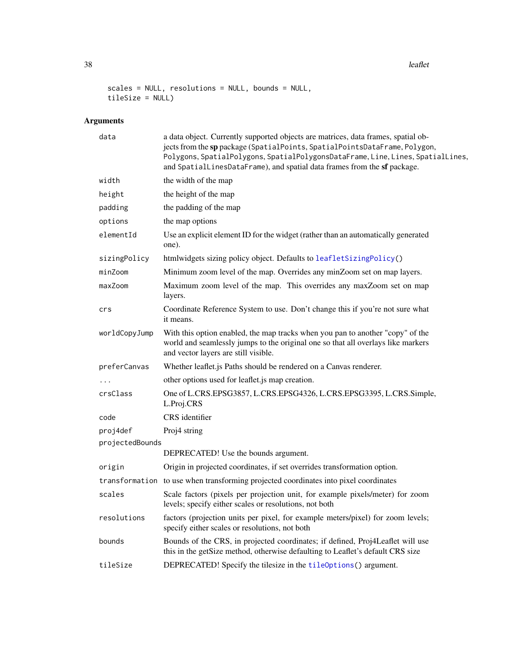38 leaflet

```
scales = NULL, resolutions = NULL, bounds = NULL,
tileSize = NULL)
```
### Arguments

| data            | a data object. Currently supported objects are matrices, data frames, spatial ob-<br>jects from the sp package (SpatialPoints, SpatialPointsDataFrame, Polygon,<br>Polygons, SpatialPolygons, SpatialPolygonsDataFrame, Line, Lines, SpatialLines,<br>and SpatialLinesDataFrame), and spatial data frames from the sf package. |
|-----------------|--------------------------------------------------------------------------------------------------------------------------------------------------------------------------------------------------------------------------------------------------------------------------------------------------------------------------------|
| width           | the width of the map                                                                                                                                                                                                                                                                                                           |
| height          | the height of the map                                                                                                                                                                                                                                                                                                          |
| padding         | the padding of the map                                                                                                                                                                                                                                                                                                         |
| options         | the map options                                                                                                                                                                                                                                                                                                                |
| elementId       | Use an explicit element ID for the widget (rather than an automatically generated<br>one).                                                                                                                                                                                                                                     |
| sizingPolicy    | htmlwidgets sizing policy object. Defaults to leafletSizingPolicy()                                                                                                                                                                                                                                                            |
| minZoom         | Minimum zoom level of the map. Overrides any minZoom set on map layers.                                                                                                                                                                                                                                                        |
| maxZoom         | Maximum zoom level of the map. This overrides any maxZoom set on map<br>layers.                                                                                                                                                                                                                                                |
| crs             | Coordinate Reference System to use. Don't change this if you're not sure what<br>it means.                                                                                                                                                                                                                                     |
| worldCopyJump   | With this option enabled, the map tracks when you pan to another "copy" of the<br>world and seamlessly jumps to the original one so that all overlays like markers<br>and vector layers are still visible.                                                                                                                     |
| preferCanvas    | Whether leaflet.js Paths should be rendered on a Canvas renderer.                                                                                                                                                                                                                                                              |
|                 | other options used for leaflet.js map creation.                                                                                                                                                                                                                                                                                |
| crsClass        | One of L.CRS.EPSG3857, L.CRS.EPSG4326, L.CRS.EPSG3395, L.CRS.Simple,<br>L.Proj.CRS                                                                                                                                                                                                                                             |
| code            | CRS identifier                                                                                                                                                                                                                                                                                                                 |
| proj4def        | Proj4 string                                                                                                                                                                                                                                                                                                                   |
| projectedBounds |                                                                                                                                                                                                                                                                                                                                |
|                 | DEPRECATED! Use the bounds argument.                                                                                                                                                                                                                                                                                           |
| origin          | Origin in projected coordinates, if set overrides transformation option.                                                                                                                                                                                                                                                       |
|                 | transformation to use when transforming projected coordinates into pixel coordinates                                                                                                                                                                                                                                           |
| scales          | Scale factors (pixels per projection unit, for example pixels/meter) for zoom<br>levels; specify either scales or resolutions, not both                                                                                                                                                                                        |
| resolutions     | factors (projection units per pixel, for example meters/pixel) for zoom levels;<br>specify either scales or resolutions, not both                                                                                                                                                                                              |
| bounds          | Bounds of the CRS, in projected coordinates; if defined, Proj4Leaflet will use<br>this in the getSize method, otherwise defaulting to Leaflet's default CRS size                                                                                                                                                               |
| tileSize        | DEPRECATED! Specify the tilesize in the tileOptions() argument.                                                                                                                                                                                                                                                                |

<span id="page-37-0"></span>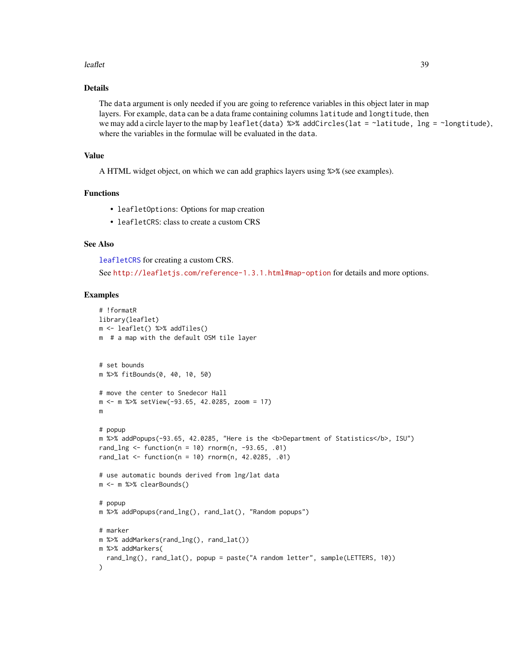#### <span id="page-38-0"></span>leaflet 39

### Details

The data argument is only needed if you are going to reference variables in this object later in map layers. For example, data can be a data frame containing columns latitude and longtitude, then we may add a circle layer to the map by leaflet(data) %>% addCircles(lat = ~latitude, lng = ~longtitude), where the variables in the formulae will be evaluated in the data.

### Value

A HTML widget object, on which we can add graphics layers using %>% (see examples).

### Functions

- leafletOptions: Options for map creation
- leafletCRS: class to create a custom CRS

### See Also

[leafletCRS](#page-36-2) for creating a custom CRS.

See <http://leafletjs.com/reference-1.3.1.html#map-option> for details and more options.

```
# !formatR
library(leaflet)
m <- leaflet() %>% addTiles()
m # a map with the default OSM tile layer
# set bounds
m %>% fitBounds(0, 40, 10, 50)
# move the center to Snedecor Hall
m <- m %>% setView(-93.65, 42.0285, zoom = 17)
m
# popup
m %>% addPopups(-93.65, 42.0285, "Here is the <b>Department of Statistics</b>, ISU")
rand_lng <- function(n = 10) rnorm(n, -93.65, .01)
rand_lat <- function(n = 10) rnorm(n, 42.0285, .01)# use automatic bounds derived from lng/lat data
m <- m %>% clearBounds()
# popup
m %>% addPopups(rand_lng(), rand_lat(), "Random popups")
# marker
m %>% addMarkers(rand_lng(), rand_lat())
m %>% addMarkers(
  rand_lng(), rand_lat(), popup = paste("A random letter", sample(LETTERS, 10))
)
```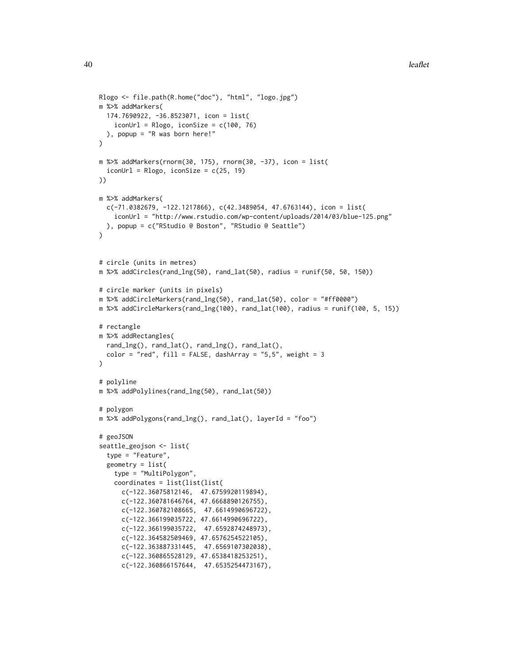```
Rlogo <- file.path(R.home("doc"), "html", "logo.jpg")
m %>% addMarkers(
 174.7690922, -36.8523071, icon = list(
   iconUrl = Rlogo, iconSize = c(100, 76)
 ), popup = "R was born here!"
)
m %>% addMarkers(rnorm(30, 175), rnorm(30, -37), icon = list(
  iconUrl = Rlogo, iconSize = c(25, 19)
))
m %>% addMarkers(
  c(-71.0382679, -122.1217866), c(42.3489054, 47.6763144), icon = list(
    iconUrl = "http://www.rstudio.com/wp-content/uploads/2014/03/blue-125.png"
  ), popup = c("RStudio @ Boston", "RStudio @ Seattle")
\lambda# circle (units in metres)
m %>% addCircles(rand_lng(50), rand_lat(50), radius = runif(50, 50, 150))
# circle marker (units in pixels)
m %>% addCircleMarkers(rand_lng(50), rand_lat(50), color = "#ff0000")
m %>% addCircleMarkers(rand_lng(100), rand_lat(100), radius = runif(100, 5, 15))
# rectangle
m %>% addRectangles(
  rand_lng(), rand_lat(), rand_lng(), rand_lat(),
  color = "red", fill = FALSE, dashArray = "5,5", weight = 3
\lambda# polyline
m %>% addPolylines(rand_lng(50), rand_lat(50))
# polygon
m %>% addPolygons(rand_lng(), rand_lat(), layerId = "foo")
# geoJSON
seattle_geojson <- list(
  type = "Feature",
  geometry = list(
    type = "MultiPolygon",
    coordinates = list(list(list(
      c(-122.36075812146, 47.6759920119894),
      c(-122.360781646764, 47.6668890126755),
      c(-122.360782108665, 47.6614990696722),
      c(-122.366199035722, 47.6614990696722),
      c(-122.366199035722, 47.6592874248973),
      c(-122.364582509469, 47.6576254522105),
      c(-122.363887331445, 47.6569107302038),
      c(-122.360865528129, 47.6538418253251),
      c(-122.360866157644, 47.6535254473167),
```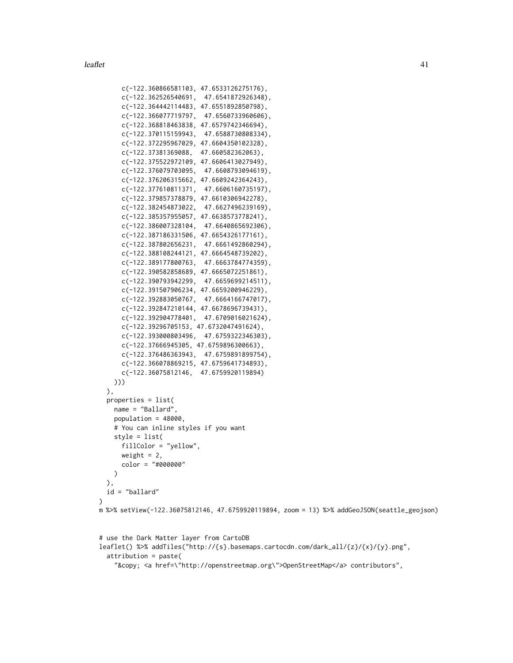```
c(-122.360866581103, 47.6533126275176),
     c(-122.362526540691, 47.6541872926348),
     c(-122.364442114483, 47.6551892850798),
     c(-122.366077719797, 47.6560733960606),
      c(-122.368818463838, 47.6579742346694),
      c(-122.370115159943, 47.6588730808334),
      c(-122.372295967029, 47.6604350102328),
     c(-122.37381369088, 47.660582362063),
     c(-122.375522972109, 47.6606413027949),
     c(-122.376079703095, 47.6608793094619),
      c(-122.376206315662, 47.6609242364243),
      c(-122.377610811371, 47.6606160735197),
      c(-122.379857378879, 47.6610306942278),
     c(-122.382454873022, 47.6627496239169),
     c(-122.385357955057, 47.6638573778241),
     c(-122.386007328104, 47.6640865692306),
     c(-122.387186331506, 47.6654326177161),
      c(-122.387802656231, 47.6661492860294),
      c(-122.388108244121, 47.6664548739202),
      c(-122.389177800763, 47.6663784774359),
     c(-122.390582858689, 47.6665072251861),
     c(-122.390793942299, 47.6659699214511),
     c(-122.391507906234, 47.6659200946229),
      c(-122.392883050767, 47.6664166747017),
     c(-122.392847210144, 47.6678696739431),
     c(-122.392904778401, 47.6709016021624),
     c(-122.39296705153, 47.6732047491624),
     c(-122.393000803496, 47.6759322346303),
     c(-122.37666945305, 47.6759896300663),
     c(-122.376486363943, 47.6759891899754),
     c(-122.366078869215, 47.6759641734893),
     c(-122.36075812146, 47.6759920119894)
   )))
 ),
 properties = list(
   name = "Ballard",
   population = 48000,
   # You can inline styles if you want
   style = list(
     fillColor = "yellow",
     weight = 2,
     color = "#000000"
   )
 ),
 id = "ballard"
)
m %>% setView(-122.36075812146, 47.6759920119894, zoom = 13) %>% addGeoJSON(seattle_geojson)
# use the Dark Matter layer from CartoDB
```

```
leaflet() %>% addTiles("http://{s}.basemaps.cartocdn.com/dark_all/{z}/{x}/{y}.png",
 attribution = paste(
    "© <a href=\"http://openstreetmap.org\">OpenStreetMap</a> contributors",
```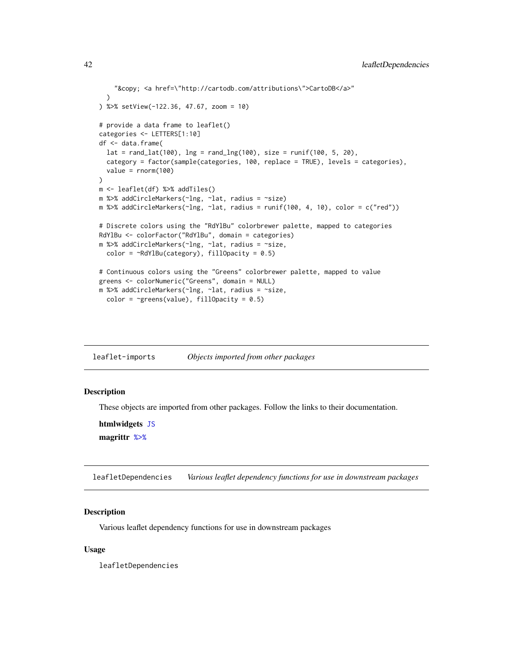```
"© <a href=\"http://cartodb.com/attributions\">CartoDB</a>"
  )
) %>% setView(-122.36, 47.67, zoom = 10)
# provide a data frame to leaflet()
categories <- LETTERS[1:10]
df <- data.frame(
  lat = rand\_lat(100), lng = rand\_lng(100), size = runif(100, 5, 20),
  category = factor(sample(categories, 100, replace = TRUE), levels = categories),
  value = rnorm(100))
m <- leaflet(df) %>% addTiles()
m %>% addCircleMarkers(~lng, ~lat, radius = ~size)
m %>% addCircleMarkers(~lng, ~lat, radius = runif(100, 4, 10), color = c("red"))
# Discrete colors using the "RdYlBu" colorbrewer palette, mapped to categories
RdYlBu <- colorFactor("RdYlBu", domain = categories)
m %>% addCircleMarkers(~lng, ~lat, radius = ~size,
  color = \simRdYlBu(category), fillOpacity = 0.5)
# Continuous colors using the "Greens" colorbrewer palette, mapped to value
greens <- colorNumeric("Greens", domain = NULL)
m %>% addCircleMarkers(~lng, ~lat, radius = ~size,
  color = \simgreens(value), fillOpacity = 0.5)
```
leaflet-imports *Objects imported from other packages*

#### <span id="page-41-1"></span>Description

These objects are imported from other packages. Follow the links to their documentation.

htmlwidgets [JS](#page-41-1) magrittr [%>%](#page-41-1)

leafletDependencies *Various leaflet dependency functions for use in downstream packages*

#### Description

Various leaflet dependency functions for use in downstream packages

#### Usage

leafletDependencies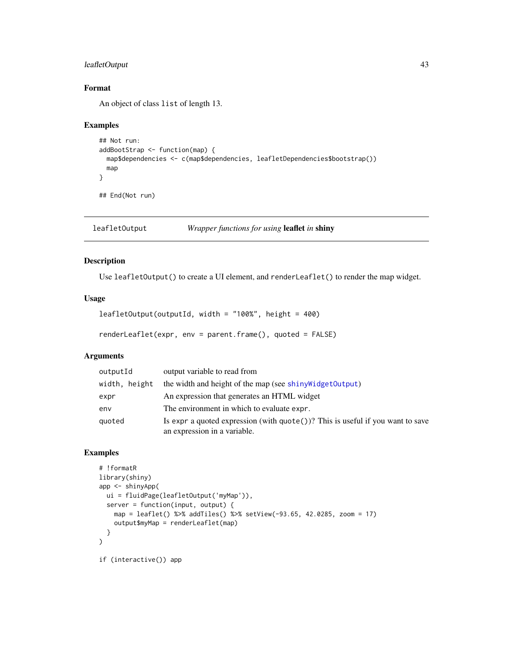### <span id="page-42-0"></span>leafletOutput 43

### Format

An object of class list of length 13.

#### Examples

```
## Not run:
addBootStrap <- function(map) {
  map$dependencies <- c(map$dependencies, leafletDependencies$bootstrap())
  map
}
```
## End(Not run)

leafletOutput *Wrapper functions for using* leaflet *in* shiny

### Description

Use leafletOutput() to create a UI element, and renderLeaflet() to render the map widget.

### Usage

```
leafletOutput(outputId, width = "100%", height = 400)
```
renderLeaflet(expr, env = parent.frame(), quoted = FALSE)

### Arguments

| outputId      | output variable to read from                                                                                             |
|---------------|--------------------------------------------------------------------------------------------------------------------------|
| width, height | the width and height of the map (see shiny Widget Output)                                                                |
| expr          | An expression that generates an HTML widget                                                                              |
| env           | The environment in which to evaluate expr.                                                                               |
| quoted        | Is expr a quoted expression (with $\text{quote}()$ )? This is useful if you want to save<br>an expression in a variable. |

```
# !formatR
library(shiny)
app <- shinyApp(
 ui = fluidPage(leafletOutput('myMap')),
 server = function(input, output) {
    map = leaflet() %>% addTiles() %>% setView(-93.65, 42.0285, zoom = 17)
    output$myMap = renderLeaflet(map)
  }
\mathcal{L}if (interactive()) app
```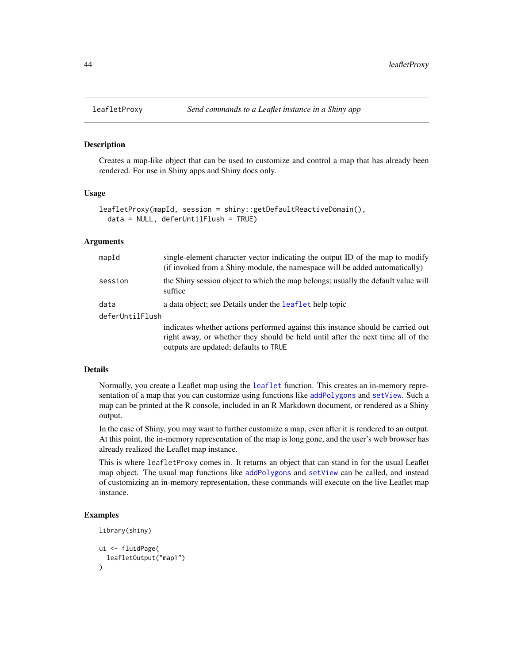#### Description

Creates a map-like object that can be used to customize and control a map that has already been rendered. For use in Shiny apps and Shiny docs only.

### Usage

```
leafletProxy(mapId, session = shiny::getDefaultReactiveDomain(),
  data = NULL, deferUntilFlush = TRUE)
```
#### Arguments

| mapId           | single-element character vector indicating the output ID of the map to modify<br>(if invoked from a Shiny module, the namespace will be added automatically)                                                |  |
|-----------------|-------------------------------------------------------------------------------------------------------------------------------------------------------------------------------------------------------------|--|
| session         | the Shiny session object to which the map belongs; usually the default value will<br>suffice                                                                                                                |  |
| data            | a data object; see Details under the leaflet help topic                                                                                                                                                     |  |
| deferUntilFlush |                                                                                                                                                                                                             |  |
|                 | indicates whether actions performed against this instance should be carried out<br>right away, or whether they should be held until after the next time all of the<br>outputs are updated; defaults to TRUE |  |

#### Details

Normally, you create a Leaflet map using the [leaflet](#page-36-1) function. This creates an in-memory representation of a map that you can customize using functions like [addPolygons](#page-3-1) and [setView](#page-50-1). Such a map can be printed at the R console, included in an R Markdown document, or rendered as a Shiny output.

In the case of Shiny, you may want to further customize a map, even after it is rendered to an output. At this point, the in-memory representation of the map is long gone, and the user's web browser has already realized the Leaflet map instance.

This is where leafletProxy comes in. It returns an object that can stand in for the usual Leaflet map object. The usual map functions like [addPolygons](#page-3-1) and [setView](#page-50-1) can be called, and instead of customizing an in-memory representation, these commands will execute on the live Leaflet map instance.

```
library(shiny)
ui <- fluidPage(
  leafletOutput("map1")
)
```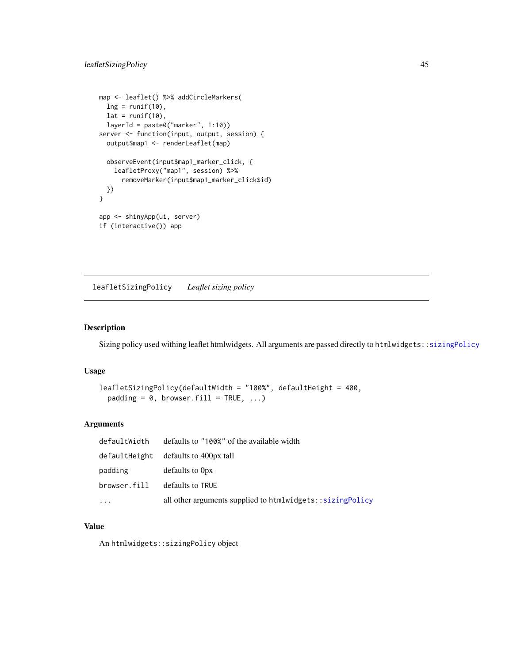```
map <- leaflet() %>% addCircleMarkers(
  \ln g = runif(10),lat = runif(10),
  layerId = paste0("marker", 1:10))
server <- function(input, output, session) {
  output$map1 <- renderLeaflet(map)
  observeEvent(input$map1_marker_click, {
    leafletProxy("map1", session) %>%
      removeMarker(input$map1_marker_click$id)
 })
}
app <- shinyApp(ui, server)
if (interactive()) app
```
<span id="page-44-1"></span>leafletSizingPolicy *Leaflet sizing policy*

### Description

Sizing policy used withing leaflet htmlwidgets. All arguments are passed directly to htmlwidgets:[:sizingPolicy](#page-0-0)

#### Usage

```
leafletSizingPolicy(defaultWidth = "100%", defaultHeight = 400,
 padding = 0, browser.fill = TRUE, ...)
```
### Arguments

| defaultWidth | defaults to "100%" of the available width                 |
|--------------|-----------------------------------------------------------|
|              | defaultHeight defaults to 400px tall                      |
| padding      | defaults to Opx                                           |
| browser.fill | defaults to TRUE                                          |
| .            | all other arguments supplied to htmlwidgets::sizingPolicy |

### Value

An htmlwidgets::sizingPolicy object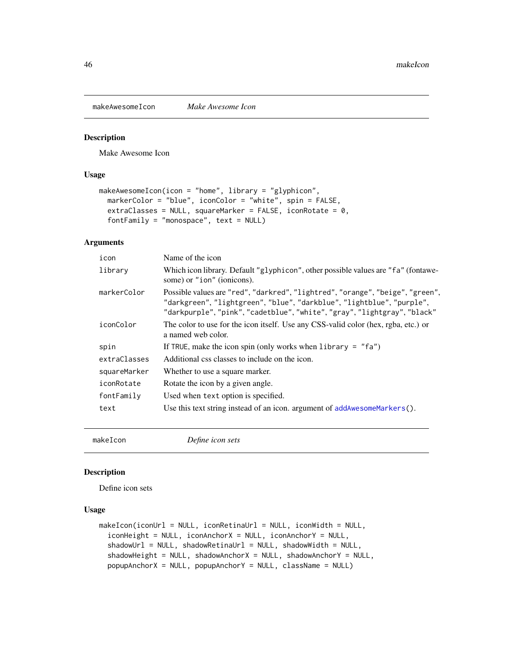<span id="page-45-1"></span><span id="page-45-0"></span>makeAwesomeIcon *Make Awesome Icon*

### Description

Make Awesome Icon

### Usage

```
makeAwesomeIcon(icon = "home", library = "glyphicon",
 markerColor = "blue", iconColor = "white", spin = FALSE,
 extraClasses = NULL, squareMarker = FALSE, iconRotate = 0,
  fortFamily = "monospace", text = NULL)
```
### Arguments

| icon         | Name of the icon                                                                                                                                                                                                                   |
|--------------|------------------------------------------------------------------------------------------------------------------------------------------------------------------------------------------------------------------------------------|
| library      | Which icon library. Default "glyphicon", other possible values are "fa" (fontawe-<br>some) or "ion" (ionicons).                                                                                                                    |
| markerColor  | Possible values are "red", "darkred", "lightred", "orange", "beige", "green",<br>"darkgreen", "lightgreen", "blue", "darkblue", "lightblue", "purple",<br>"darkpurple", "pink", "cadetblue", "white", "gray", "lightgray", "black" |
| iconColor    | The color to use for the icon itself. Use any CSS-valid color (hex, rgba, etc.) or<br>a named web color.                                                                                                                           |
| spin         | If TRUE, make the icon spin (only works when library = $"fa"$ )                                                                                                                                                                    |
| extraClasses | Additional css classes to include on the icon.                                                                                                                                                                                     |
| squareMarker | Whether to use a square marker.                                                                                                                                                                                                    |
| iconRotate   | Rotate the icon by a given angle.                                                                                                                                                                                                  |
| fontFamily   | Used when text option is specified.                                                                                                                                                                                                |
| text         | Use this text string instead of an icon. argument of $addAwesomeMarker s()$ .                                                                                                                                                      |
|              |                                                                                                                                                                                                                                    |

<span id="page-45-2"></span>

makeIcon *Define icon sets*

#### Description

Define icon sets

### Usage

```
makeIcon(iconUrl = NULL, iconRetinaUrl = NULL, iconWidth = NULL,
  iconHeight = NULL, iconAnchorX = NULL, iconAnchorY = NULL,
  shadowUr1 = NULL, shadowRetinalr1 = NULL, shadowWidth = NULL,shadowHeight = NULL, shadowAnchorX = NULL, shadowAnchorY = NULL,
  popupAnchorX = NULL, popupAnchorY = NULL, className = NULL)
```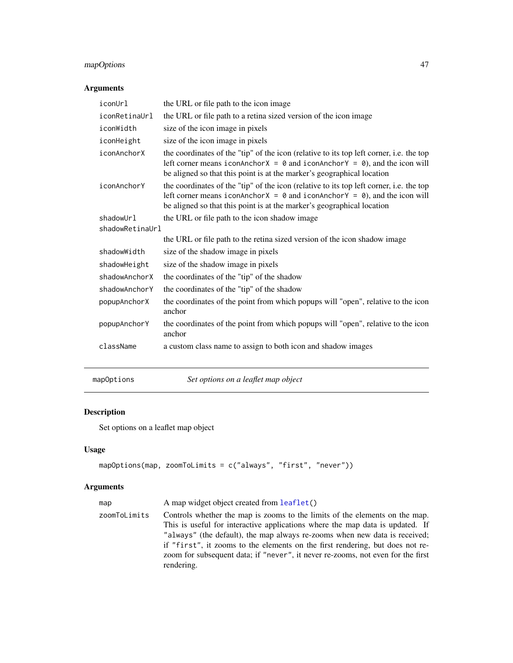### <span id="page-46-0"></span>mapOptions 47

### Arguments

| iconUrl         | the URL or file path to the icon image                                                                                                                                                                                                                               |
|-----------------|----------------------------------------------------------------------------------------------------------------------------------------------------------------------------------------------------------------------------------------------------------------------|
| iconRetinaUrl   | the URL or file path to a retina sized version of the icon image                                                                                                                                                                                                     |
| iconWidth       | size of the icon image in pixels                                                                                                                                                                                                                                     |
| iconHeight      | size of the icon image in pixels                                                                                                                                                                                                                                     |
| iconAnchorX     | the coordinates of the "tip" of the icon (relative to its top left corner, i.e. the top<br>left corner means iconAnchor $X = 0$ and iconAnchor $Y = 0$ , and the icon will<br>be aligned so that this point is at the marker's geographical location                 |
| iconAnchorY     | the coordinates of the "tip" of the icon (relative to its top left corner, i.e. the top<br>left corner means iconAnchor $X = \emptyset$ and iconAnchor $Y = \emptyset$ , and the icon will<br>be aligned so that this point is at the marker's geographical location |
| shadowUrl       | the URL or file path to the icon shadow image                                                                                                                                                                                                                        |
| shadowRetinaUrl |                                                                                                                                                                                                                                                                      |
|                 | the URL or file path to the retina sized version of the icon shadow image                                                                                                                                                                                            |
| shadowWidth     | size of the shadow image in pixels                                                                                                                                                                                                                                   |
| shadowHeight    | size of the shadow image in pixels                                                                                                                                                                                                                                   |
| shadowAnchorX   | the coordinates of the "tip" of the shadow                                                                                                                                                                                                                           |
| shadowAnchorY   | the coordinates of the "tip" of the shadow                                                                                                                                                                                                                           |
| popupAnchorX    | the coordinates of the point from which popups will "open", relative to the icon<br>anchor                                                                                                                                                                           |
| popupAnchorY    | the coordinates of the point from which popups will "open", relative to the icon<br>anchor                                                                                                                                                                           |
| className       | a custom class name to assign to both icon and shadow images                                                                                                                                                                                                         |

mapOptions *Set options on a leaflet map object*

### Description

Set options on a leaflet map object

### Usage

```
mapOptions(map, zoomToLimits = c("always", "first", "never"))
```
### Arguments

| map          | A map widget object created from leaflet()                                                                                                                                                                                                                                                                                                                                                                                   |
|--------------|------------------------------------------------------------------------------------------------------------------------------------------------------------------------------------------------------------------------------------------------------------------------------------------------------------------------------------------------------------------------------------------------------------------------------|
| zoomToLimits | Controls whether the map is zooms to the limits of the elements on the map.<br>This is useful for interactive applications where the map data is updated. If<br>"always" (the default), the map always re-zooms when new data is received;<br>if "first", it zooms to the elements on the first rendering, but does not re-<br>zoom for subsequent data; if "never", it never re-zooms, not even for the first<br>rendering. |
|              |                                                                                                                                                                                                                                                                                                                                                                                                                              |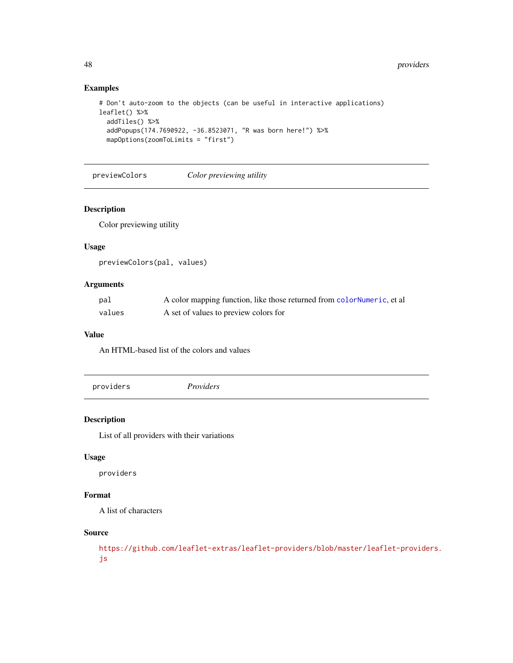### Examples

```
# Don't auto-zoom to the objects (can be useful in interactive applications)
leaflet() %>%
  addTiles() %>%
  addPopups(174.7690922, -36.8523071, "R was born here!") %>%
  mapOptions(zoomToLimits = "first")
```
previewColors *Color previewing utility*

#### Description

Color previewing utility

#### Usage

previewColors(pal, values)

### Arguments

| pal    | A color mapping function, like those returned from colorNumeric, et all |
|--------|-------------------------------------------------------------------------|
| values | A set of values to preview colors for                                   |

#### Value

An HTML-based list of the colors and values

<span id="page-47-1"></span>providers *Providers*

### Description

List of all providers with their variations

#### Usage

providers

### Format

A list of characters

### Source

[https://github.com/leaflet-extras/leaflet-providers/blob/master/leaflet-provide](https://github.com/leaflet-extras/leaflet-providers/blob/master/leaflet-providers.js)rs. [js](https://github.com/leaflet-extras/leaflet-providers/blob/master/leaflet-providers.js)

<span id="page-47-0"></span>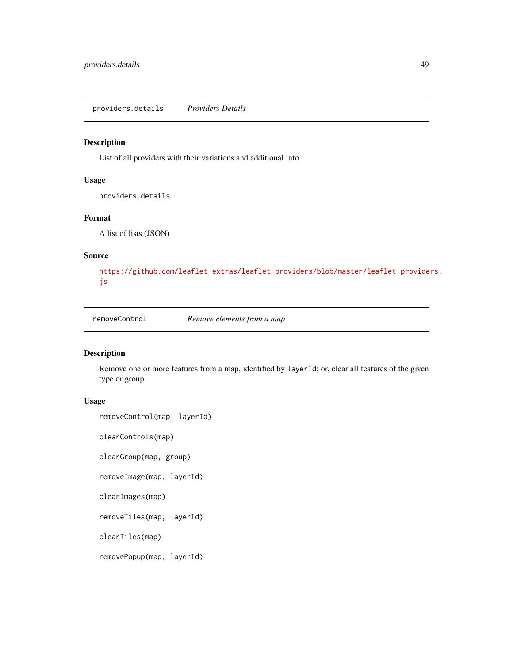<span id="page-48-0"></span>providers.details *Providers Details*

### Description

List of all providers with their variations and additional info

### Usage

providers.details

### Format

A list of lists (JSON)

#### Source

[https://github.com/leaflet-extras/leaflet-providers/blob/master/leaflet-provide](https://github.com/leaflet-extras/leaflet-providers/blob/master/leaflet-providers.js)rs. [js](https://github.com/leaflet-extras/leaflet-providers/blob/master/leaflet-providers.js)

removeControl *Remove elements from a map*

#### <span id="page-48-1"></span>Description

Remove one or more features from a map, identified by layerId; or, clear all features of the given type or group.

### Usage

```
removeControl(map, layerId)
```
clearControls(map)

clearGroup(map, group)

removeImage(map, layerId)

clearImages(map)

removeTiles(map, layerId)

clearTiles(map)

removePopup(map, layerId)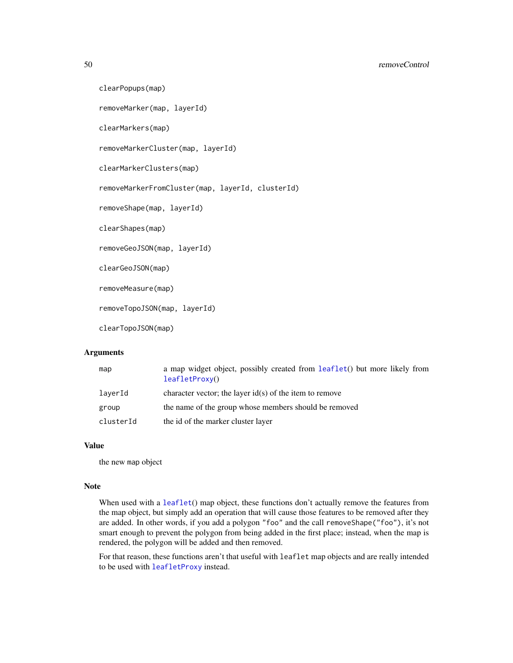<span id="page-49-0"></span>50 removeControl

```
clearPopups(map)
removeMarker(map, layerId)
clearMarkers(map)
removeMarkerCluster(map, layerId)
clearMarkerClusters(map)
removeMarkerFromCluster(map, layerId, clusterId)
removeShape(map, layerId)
clearShapes(map)
removeGeoJSON(map, layerId)
clearGeoJSON(map)
removeMeasure(map)
removeTopoJSON(map, layerId)
clearTopoJSON(map)
```
#### Arguments

| map       | a map widget object, possibly created from leaflet() but more likely from<br>leafletProxy() |
|-----------|---------------------------------------------------------------------------------------------|
| laverId   | character vector; the layer $id(s)$ of the item to remove                                   |
| group     | the name of the group whose members should be removed                                       |
| clusterId | the id of the marker cluster layer                                                          |

### Value

the new map object

#### Note

When used with a [leaflet](#page-36-1)() map object, these functions don't actually remove the features from the map object, but simply add an operation that will cause those features to be removed after they are added. In other words, if you add a polygon "foo" and the call removeShape("foo"), it's not smart enough to prevent the polygon from being added in the first place; instead, when the map is rendered, the polygon will be added and then removed.

For that reason, these functions aren't that useful with leaflet map objects and are really intended to be used with [leafletProxy](#page-43-1) instead.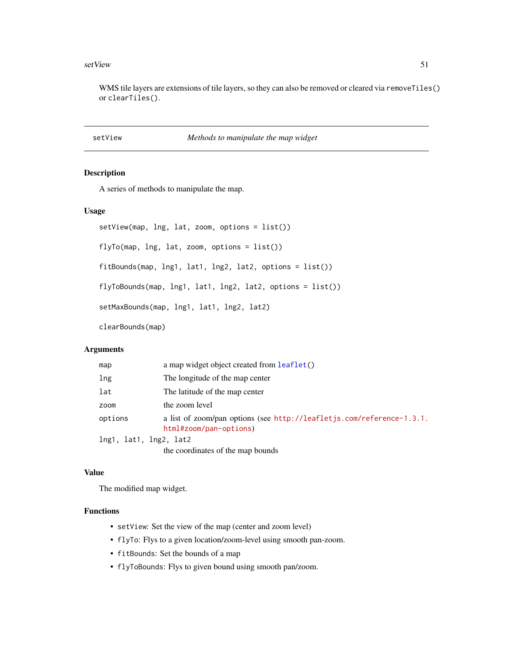#### <span id="page-50-0"></span>setView 51

WMS tile layers are extensions of tile layers, so they can also be removed or cleared via removeTiles() or clearTiles().

### <span id="page-50-1"></span>setView *Methods to manipulate the map widget*

### Description

A series of methods to manipulate the map.

#### Usage

```
setView(map, lng, lat, zoom, options = list())
flyTo(map, lng, lat, zoom, options = list())
fitBounds(map, lng1, lat1, lng2, lat2, options = list())
flyToBounds(map, lng1, lat1, lng2, lat2, options = list())
setMaxBounds(map, lng1, lat1, lng2, lat2)
clearBounds(map)
```
#### **Arguments**

| map                    | a map widget object created from leaflet()                                                      |
|------------------------|-------------------------------------------------------------------------------------------------|
| lng                    | The longitude of the map center                                                                 |
| lat                    | The latitude of the map center                                                                  |
| zoom                   | the zoom level                                                                                  |
| options                | a list of zoom/pan options (see http://leafletjs.com/reference-1.3.1.<br>html#zoom/pan-options) |
| lng1, lat1, lng2, lat2 |                                                                                                 |
|                        | the coordinates of the map bounds                                                               |

#### Value

The modified map widget.

### Functions

- setView: Set the view of the map (center and zoom level)
- flyTo: Flys to a given location/zoom-level using smooth pan-zoom.
- fitBounds: Set the bounds of a map
- flyToBounds: Flys to given bound using smooth pan/zoom.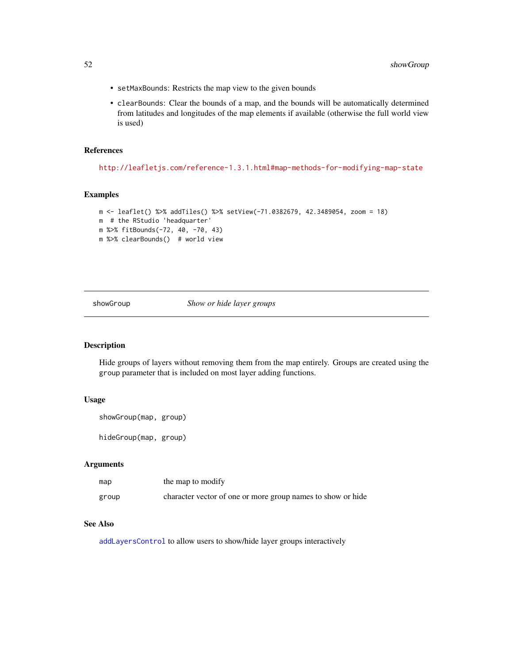- <span id="page-51-0"></span>• setMaxBounds: Restricts the map view to the given bounds
- clearBounds: Clear the bounds of a map, and the bounds will be automatically determined from latitudes and longitudes of the map elements if available (otherwise the full world view is used)

#### References

<http://leafletjs.com/reference-1.3.1.html#map-methods-for-modifying-map-state>

### Examples

```
m <- leaflet() %>% addTiles() %>% setView(-71.0382679, 42.3489054, zoom = 18)
m # the RStudio 'headquarter'
m %>% fitBounds(-72, 40, -70, 43)
m %>% clearBounds() # world view
```
showGroup *Show or hide layer groups*

### Description

Hide groups of layers without removing them from the map entirely. Groups are created using the group parameter that is included on most layer adding functions.

#### Usage

```
showGroup(map, group)
```
hideGroup(map, group)

### Arguments

| map   | the map to modify                                           |
|-------|-------------------------------------------------------------|
| group | character vector of one or more group names to show or hide |

### See Also

[addLayersControl](#page-8-1) to allow users to show/hide layer groups interactively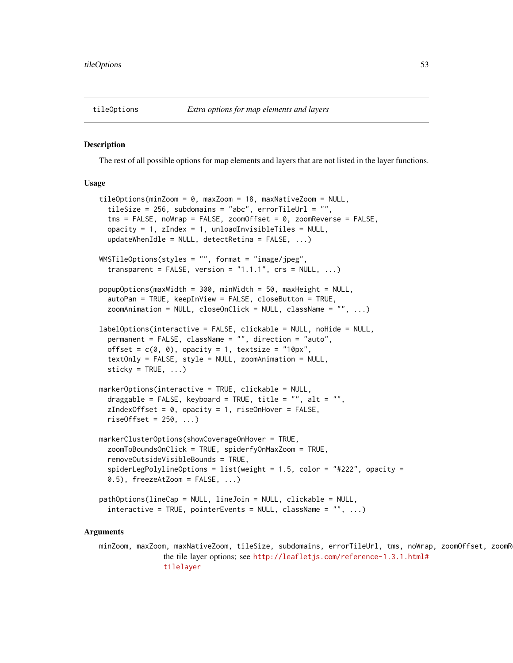<span id="page-52-2"></span><span id="page-52-0"></span>

#### <span id="page-52-1"></span>Description

The rest of all possible options for map elements and layers that are not listed in the layer functions.

### Usage

```
tileOptions(minZoom = 0, maxZoom = 18, maxNativeZoom = NULL,
  tileSize = 256, subdomains = "abc", errorTileUrl = "",
  tms = FALSE, noWrap = FALSE, zoomOffset = 0, zoomReverse = FALSE,opacity = 1, zIndex = 1, unloadInvisibleFiles = NULL,
  updateWhenIdle = NULL, detectRetina = FALSE, ...)WMSTileOptions(styles = "", format = "image/jpeg",
  transparent = FALSE, version = "1.1.1", crs = NULL, ...popupOptions(maxWidth = 300, minWidth = 50, maxHeight = NULL,
  autoPan = TRUE, keepInView = FALSE, closeButton = TRUE,
  zoomAnimation = NULL, closeOnClick = NULL, className = "", ...)
labelOptions(interactive = FALSE, clickable = NULL, noHide = NULL,
  permanent = FALSE, className = "", direction = "auto",
  offset = c(\emptyset, \emptyset), opacity = 1, textsize = "10px",
  textOnly = FALSE, style = NULL, zoomAnimation = NULL,
  sticky = TRUE, \ldots)
markerOptions(interactive = TRUE, clickable = NULL,
  draggable = FALSE, keyboard = TRUE, title = ", alt = ",
  zIndexOffset = 0, opacity = 1, riseOnHover = FALSE,
  riseOffset = 250, ...markerClusterOptions(showCoverageOnHover = TRUE,
  zoomToBoundsOnClick = TRUE, spiderfyOnMaxZoom = TRUE,
  removeOutsideVisibleBounds = TRUE,
  spiderLegPolylineOptions = list(weight = 1.5, color = "#222", opacity =
  0.5), freezeAtZoom = FALSE, \ldots)
pathOptions(lineCap = NULL, lineJoin = NULL, clickable = NULL,
```
### interactive = TRUE, pointerEvents = NULL, className = "", ...)

#### Arguments

minZoom, maxZoom, maxNativeZoom, tileSize, subdomains, errorTileUrl, tms, noWrap, zoomOffset, zoomR the tile layer options; see [http://leafletjs.com/reference-1.3.1.html#](http://leafletjs.com/reference-1.3.1.html#tilelayer) [tilelayer](http://leafletjs.com/reference-1.3.1.html#tilelayer)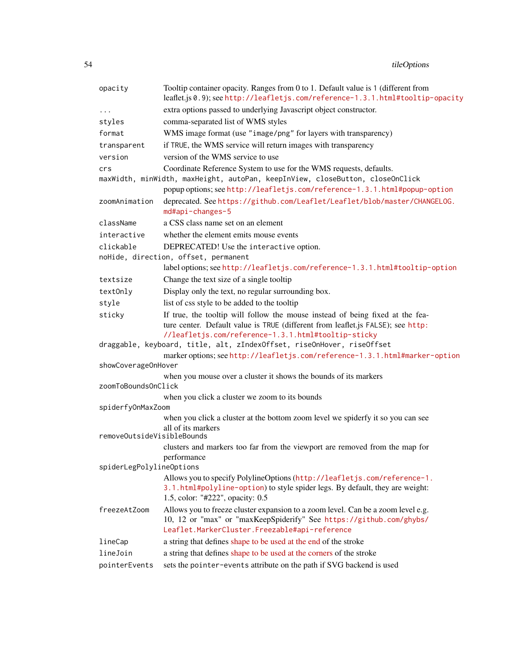54 tileOptions

| opacity                    | Tooltip container opacity. Ranges from 0 to 1. Default value is 1 (different from<br>leaflet.js 0.9); see http://leafletjs.com/reference-1.3.1.html#tooltip-opacity |
|----------------------------|---------------------------------------------------------------------------------------------------------------------------------------------------------------------|
|                            | extra options passed to underlying Javascript object constructor.                                                                                                   |
| $\cdots$<br>styles         | comma-separated list of WMS styles                                                                                                                                  |
| format                     |                                                                                                                                                                     |
|                            | WMS image format (use "image/png" for layers with transparency)                                                                                                     |
| transparent                | if TRUE, the WMS service will return images with transparency                                                                                                       |
| version                    | version of the WMS service to use                                                                                                                                   |
| crs                        | Coordinate Reference System to use for the WMS requests, defaults.                                                                                                  |
|                            | maxWidth, minWidth, maxHeight, autoPan, keepInView, closeButton, closeOnClick                                                                                       |
|                            | popup options; see http://leafletjs.com/reference-1.3.1.html#popup-option                                                                                           |
| zoomAnimation              | deprecated. See https://github.com/Leaflet/Leaflet/blob/master/CHANGELOG.<br>md#api-changes-5                                                                       |
| className                  | a CSS class name set on an element                                                                                                                                  |
| interactive                | whether the element emits mouse events                                                                                                                              |
| clickable                  | DEPRECATED! Use the interactive option.                                                                                                                             |
|                            | noHide, direction, offset, permanent                                                                                                                                |
|                            | labeloptions; see http://leafletjs.com/reference-1.3.1.html#tooltip-option                                                                                          |
| textsize                   | Change the text size of a single tooltip                                                                                                                            |
| textOnly                   | Display only the text, no regular surrounding box.                                                                                                                  |
| style                      | list of css style to be added to the tooltip                                                                                                                        |
| sticky                     | If true, the tooltip will follow the mouse instead of being fixed at the fea-                                                                                       |
|                            | ture center. Default value is TRUE (different from leaflet.js FALSE); see http:                                                                                     |
|                            | //leafletjs.com/reference-1.3.1.html#tooltip-sticky                                                                                                                 |
|                            | draggable, keyboard, title, alt, zIndexOffset, riseOnHover, riseOffset                                                                                              |
|                            | marker options; see http://leafletjs.com/reference-1.3.1.html#marker-option                                                                                         |
| showCoverageOnHover        |                                                                                                                                                                     |
| zoomToBoundsOnClick        | when you mouse over a cluster it shows the bounds of its markers                                                                                                    |
|                            |                                                                                                                                                                     |
| spiderfyOnMaxZoom          | when you click a cluster we zoom to its bounds                                                                                                                      |
|                            | when you click a cluster at the bottom zoom level we spiderfy it so you can see                                                                                     |
|                            | all of its markers                                                                                                                                                  |
| removeOutsideVisibleBounds |                                                                                                                                                                     |
|                            | clusters and markers too far from the viewport are removed from the map for                                                                                         |
|                            | performance                                                                                                                                                         |
| spiderLegPolylineOptions   |                                                                                                                                                                     |
|                            | Allows you to specify PolylineOptions (http://leafletjs.com/reference-1.                                                                                            |
|                            | 3.1.html#polyline-option) to style spider legs. By default, they are weight:                                                                                        |
|                            | 1.5, color: "#222", opacity: 0.5                                                                                                                                    |
| freezeAtZoom               | Allows you to freeze cluster expansion to a zoom level. Can be a zoom level e.g.                                                                                    |
|                            | 10, 12 or "max" or "maxKeepSpiderify" See https://github.com/ghybs/<br>Leaflet.MarkerCluster.Freezable#api-reference                                                |
|                            |                                                                                                                                                                     |
| lineCap                    | a string that defines shape to be used at the end of the stroke                                                                                                     |
| lineJoin                   | a string that defines shape to be used at the corners of the stroke                                                                                                 |
| pointerEvents              | sets the pointer-events attribute on the path if SVG backend is used                                                                                                |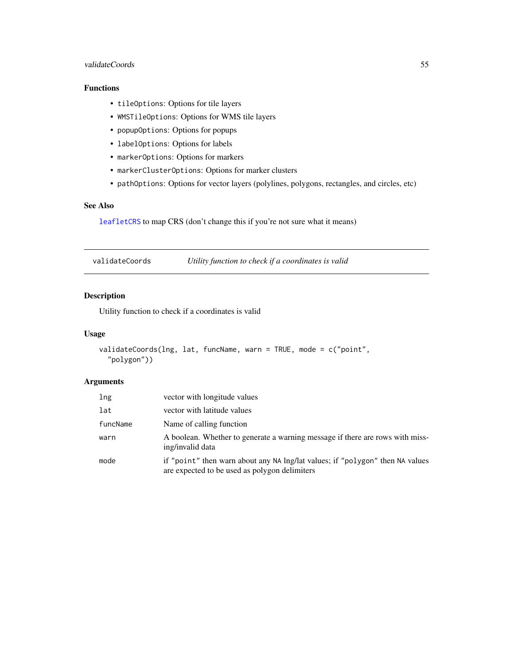### <span id="page-54-0"></span>validateCoords 55

### Functions

- tileOptions: Options for tile layers
- WMSTileOptions: Options for WMS tile layers
- popupOptions: Options for popups
- labelOptions: Options for labels
- markerOptions: Options for markers
- markerClusterOptions: Options for marker clusters
- pathOptions: Options for vector layers (polylines, polygons, rectangles, and circles, etc)

### See Also

[leafletCRS](#page-36-2) to map CRS (don't change this if you're not sure what it means)

validateCoords *Utility function to check if a coordinates is valid*

### Description

Utility function to check if a coordinates is valid

#### Usage

```
validateCoords(lng, lat, funcName, warn = TRUE, mode = c("point",
  "polygon"))
```
### Arguments

| lng      | vector with longitude values                                                                                                   |
|----------|--------------------------------------------------------------------------------------------------------------------------------|
| lat      | vector with latitude values                                                                                                    |
| funcName | Name of calling function                                                                                                       |
| warn     | A boolean. Whether to generate a warning message if there are rows with miss-<br>ing/invalid data                              |
| mode     | if "point" then warn about any NA lng/lat values; if "polygon" then NA values<br>are expected to be used as polygon delimiters |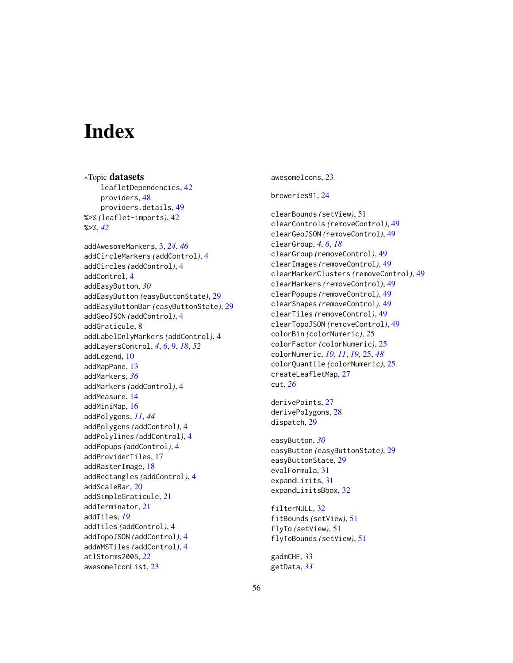# <span id="page-55-0"></span>**Index**

∗Topic datasets leafletDependencies, [42](#page-41-0) providers, [48](#page-47-0) providers.details, [49](#page-48-0) %>% *(*leaflet-imports*)*, [42](#page-41-0) %>%, *[42](#page-41-0)* addAwesomeMarkers, [3,](#page-2-0) *[24](#page-23-0)*, *[46](#page-45-0)* addCircleMarkers *(*addControl*)*, [4](#page-3-0) addCircles *(*addControl*)*, [4](#page-3-0) addControl, [4](#page-3-0) addEasyButton, *[30](#page-29-0)* addEasyButton *(*easyButtonState*)*, [29](#page-28-0) addEasyButtonBar *(*easyButtonState*)*, [29](#page-28-0) addGeoJSON *(*addControl*)*, [4](#page-3-0) addGraticule, [8](#page-7-0) addLabelOnlyMarkers *(*addControl*)*, [4](#page-3-0) addLayersControl, *[4](#page-3-0)*, *[6](#page-5-0)*, [9,](#page-8-0) *[18](#page-17-0)*, *[52](#page-51-0)* addLegend, [10](#page-9-0) addMapPane, [13](#page-12-0) addMarkers, *[36](#page-35-0)* addMarkers *(*addControl*)*, [4](#page-3-0) addMeasure, [14](#page-13-0) addMiniMap, [16](#page-15-0) addPolygons, *[11](#page-10-0)*, *[44](#page-43-0)* addPolygons *(*addControl*)*, [4](#page-3-0) addPolylines *(*addControl*)*, [4](#page-3-0) addPopups *(*addControl*)*, [4](#page-3-0) addProviderTiles, [17](#page-16-0) addRasterImage, [18](#page-17-0) addRectangles *(*addControl*)*, [4](#page-3-0) addScaleBar, [20](#page-19-0) addSimpleGraticule, [21](#page-20-0) addTerminator, [21](#page-20-0) addTiles, *[19](#page-18-0)* addTiles *(*addControl*)*, [4](#page-3-0) addTopoJSON *(*addControl*)*, [4](#page-3-0) addWMSTiles *(*addControl*)*, [4](#page-3-0) atlStorms2005, [22](#page-21-0) awesomeIconList, [23](#page-22-0)

awesomeIcons, [23](#page-22-0)

breweries91, [24](#page-23-0)

clearBounds *(*setView*)*, [51](#page-50-0) clearControls *(*removeControl*)*, [49](#page-48-0) clearGeoJSON *(*removeControl*)*, [49](#page-48-0) clearGroup, *[4](#page-3-0)*, *[6](#page-5-0)*, *[18](#page-17-0)* clearGroup *(*removeControl*)*, [49](#page-48-0) clearImages *(*removeControl*)*, [49](#page-48-0) clearMarkerClusters *(*removeControl*)*, [49](#page-48-0) clearMarkers *(*removeControl*)*, [49](#page-48-0) clearPopups *(*removeControl*)*, [49](#page-48-0) clearShapes *(*removeControl*)*, [49](#page-48-0) clearTiles *(*removeControl*)*, [49](#page-48-0) clearTopoJSON *(*removeControl*)*, [49](#page-48-0) colorBin *(*colorNumeric*)*, [25](#page-24-0) colorFactor *(*colorNumeric*)*, [25](#page-24-0) colorNumeric, *[10,](#page-9-0) [11](#page-10-0)*, *[19](#page-18-0)*, [25,](#page-24-0) *[48](#page-47-0)* colorQuantile *(*colorNumeric*)*, [25](#page-24-0) createLeafletMap, [27](#page-26-0) cut, *[26](#page-25-0)*

derivePoints, [27](#page-26-0) derivePolygons, [28](#page-27-0) dispatch, [29](#page-28-0)

easyButton, *[30](#page-29-0)* easyButton *(*easyButtonState*)*, [29](#page-28-0) easyButtonState, [29](#page-28-0) evalFormula, [31](#page-30-0) expandLimits, [31](#page-30-0) expandLimitsBbox, [32](#page-31-0)

filterNULL, [32](#page-31-0) fitBounds *(*setView*)*, [51](#page-50-0) flyTo *(*setView*)*, [51](#page-50-0) flyToBounds *(*setView*)*, [51](#page-50-0)

gadmCHE, [33](#page-32-0) getData, *[33](#page-32-0)*